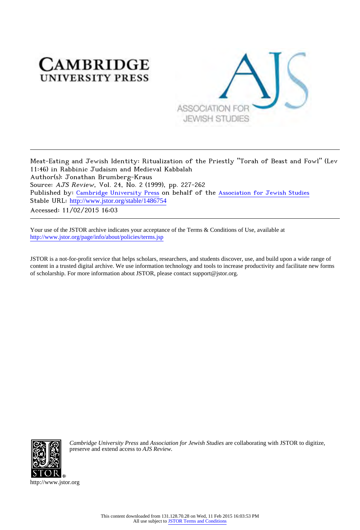# **CAMBRIDGE UNIVERSITY PRESS**



Meat-Eating and Jewish Identity: Ritualization of the Priestly "Torah of Beast and Fowl" (Lev 11:46) in Rabbinic Judaism and Medieval Kabbalah Author(s): Jonathan Brumberg-Kraus Source: AJS Review, Vol. 24, No. 2 (1999), pp. 227-262 Published by: [Cambridge University Press](http://www.jstor.org/action/showPublisher?publisherCode=cup) on behalf of the [Association for Jewish Studies](http://www.jstor.org/action/showPublisher?publisherCode=ajs) Stable URL: [http://www.jstor.org/stable/1486754](http://www.jstor.org/stable/1486754?origin=JSTOR-pdf) Accessed: 11/02/2015 16:03

Your use of the JSTOR archive indicates your acceptance of the Terms & Conditions of Use, available at <http://www.jstor.org/page/info/about/policies/terms.jsp>

JSTOR is a not-for-profit service that helps scholars, researchers, and students discover, use, and build upon a wide range of content in a trusted digital archive. We use information technology and tools to increase productivity and facilitate new forms of scholarship. For more information about JSTOR, please contact support@jstor.org.



*Cambridge University Press* and *Association for Jewish Studies* are collaborating with JSTOR to digitize, preserve and extend access to *AJS Review.*

http://www.jstor.org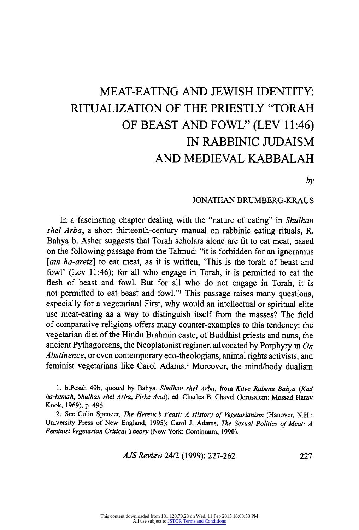# **MEAT-EATING AND JEWISH IDENTITY: RITUALIZATION OF THE PRIESTLY "TORAH OF BEAST AND FOWL" (LEV 11:46) IN RABBINIC JUDAISM AND MEDIEVAL KABBALAH**

**by** 

### **JONATHAN BRUMBERG-KRAUS**

**In a fascinating chapter dealing with the "nature of eating" in Shulhan shel Arba, a short thirteenth-century manual on rabbinic eating rituals, R. Bahya b. Asher suggests that Torah scholars alone are fit to eat meat, based on the following passage from the Talmud: "it is forbidden for an ignoramus**  [am ha-aretz] to eat meat, as it is written, 'This is the torah of beast and **fowl' (Lev 11:46); for all who engage in Torah, it is permitted to eat the flesh of beast and fowl. But for all who do not engage in Torah, it is not permitted to eat beast and fowl."' This passage raises many questions, especially for a vegetarian! First, why would an intellectual or spiritual elite use meat-eating as a way to distinguish itself from the masses? The field of comparative religions offers many counter-examples to this tendency: the vegetarian diet of the Hindu Brahmin caste, of Buddhist priests and nuns, the ancient Pythagoreans, the Neoplatonist regimen advocated by Porphyry in On Abstinence, or even contemporary eco-theologians, animal rights activists, and feminist vegetarians like Carol Adams.2 Moreover, the mind/body dualism** 

**1. b.Pesah 49b, quoted by Bahya, Shulhan shel Arba, from Kitve Rabenu Bahya (Kad ha-kemah, Shulhan shel Arba, Pirke Avot), ed. Charles B. Chavel (Jerusalem: Mossad Harav Kook, 1969), p. 496.** 

2. See Colin Spencer, The Heretic's Feast: A History of Vegetarianism (Hanover, N.H.: **University Press of New England, 1995); Carol J. Adams, The Sexual Politics of Meat: A Feminist Vegetarian Critical Theory (New York: Continuum, 1990).** 

**AJS Review 24/2 (1999): 227-262 227**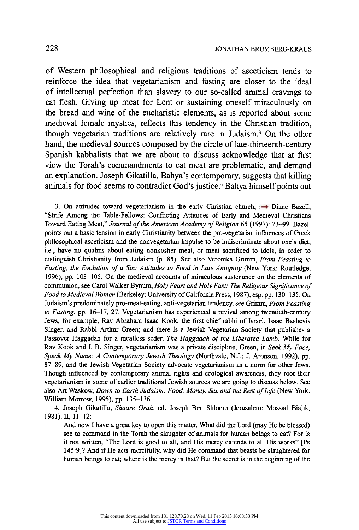**of Western philosophical and religious traditions of asceticism tends to reinforce the idea that vegetarianism and fasting are closer to the ideal of intellectual perfection than slavery to our so-called animal cravings to eat flesh. Giving up meat for Lent or sustaining oneself miraculously on the bread and wine of the eucharistic elements, as is reported about some medieval female mystics, reflects this tendency in the Christian tradition, though vegetarian traditions are relatively rare in Judaism.3 On the other hand, the medieval sources composed by the circle of late-thirteenth-century Spanish kabbalists that we are about to discuss acknowledge that at first view the Torah's commandments to eat meat are problematic, and demand an explanation. Joseph Gikatilla, Bahya's contemporary, suggests that killing animals for food seems to contradict God's justice.4 Bahya himself points out** 

3. On attitudes toward vegetarianism in the early Christian church,  $\rightarrow$  Diane Bazell, **"Strife Among the Table-Fellows: Conflicting Attitudes of Early and Medieval Christians Toward Eating Meat," Journal of the American Academy of Religion 65 (1997): 73-99. Bazell points out a basic tension in early Christianity between the pro-vegetarian influences of Greek philosophical asceticism and the nonvegetarian impulse to be indiscriminate about one's diet, i.e., have no qualms about eating nonkosher meat, or meat sacrificed to idols, in order to distinguish Christianity from Judaism (p. 85). See also Veronika Grimm, From Feasting to Fasting, the Evolution of a Sin: Attitudes to Food in Late Antiquity (New York: Routledge, 1996), pp. 103-105. On the medieval accounts of miraculous sustenance on the elements of communion, see Carol Walker Bynum, Holy Feast and Holy Fast: The Religious Significance of Food to Medieval Women (Berkeley: University of California Press, 1987), esp. pp. 130-135. On Judaism's predominately pro-meat-eating, anti-vegetarian tendency, see Grimm, From Feasting to Fasting, pp. 16-17, 27. Vegetarianism has experienced a revival among twentieth-century Jews, for example, Rav Abraham Isaac Kook, the first chief rabbi of Israel, Isaac Bashevis Singer, and Rabbi Arthur Green; and there is a Jewish Vegetarian Society that publishes a Passover Haggadah for a meatless seder, The Haggadah of the Liberated Lamb. While for Rav Kook and I. B. Singer, vegetarianism was a private discipline, Green, in Seek My Face, Speak My Name: A Contemporary Jewish Theology (Northvale, N.J.: J. Aronson, 1992), pp. 87-89, and the Jewish Vegetarian Society advocate vegetarianism as a norm for other Jews. Though influenced by contemporary animal rights and ecological awareness, they root their vegetarianism in some of earlier traditional Jewish sources we are going to discuss below. See also Art Waskow, Down to Earth Judaism: Food, Money, Sex and the Rest of Life (New York: William Morrow, 1995), pp. 135-136.** 

**4. Joseph Gikatilla, Shaare Orah, ed. Joseph Ben Shlomo (Jerusalem: Mossad Bialik, 1981), II, 11-12:** 

**And now I have a great key to open this matter. What did the Lord (may He be blessed) see to command in the Torah the slaughter of animals for human beings to eat? For is it not written, "The Lord is good to all, and His mercy extends to all His works" [Ps 145:9]? And if He acts mercifully, why did He command that beasts be slaughtered for human beings to eat; where is the mercy in that? But the secret is in the beginning of the**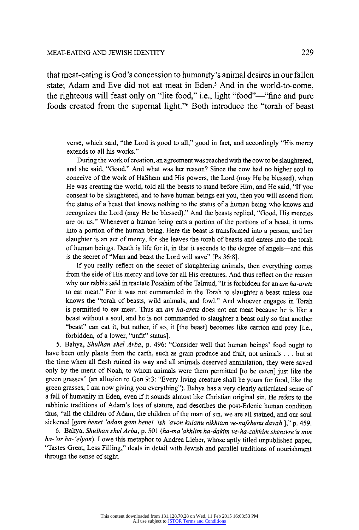**that meat-eating is God's concession to humanity's animal desires in our fallen state; Adam and Eve did not eat meat in Eden.5 And in the world-to-come, the righteous will feast only on "lite food," i.e., light "food"-"fine and pure foods created from the supernal light."6 Both introduce the "torah of beast** 

**verse, which said, "the Lord is good to all," good in fact, and accordingly "His mercy extends to all his works."** 

**During the work of creation, an agreement was reached with the cow to be slaughtered, and she said, "Good." And what was her reason? Since the cow had no higher soul to conceive of the work of HaShem and His powers, the Lord (may He be blessed), when He was creating the world, told all the beasts to stand before Him, and He said, "If you consent to be slaughtered, and to have human beings eat you, then you will ascend from the status of a beast that knows nothing to the status of a human being who knows and recognizes the Lord (may He be blessed)." And the beasts replied, "Good. His mercies are on us." Whenever a human being eats a portion of the portions of a beast, it turns into a portion of the human being. Here the beast is transformed into a person, and her slaughter is an act of mercy, for she leaves the torah of beasts and enters into the torah of human beings. Death is life for it, in that it ascends to the degree of angels-and this is the secret of "Man and beast the Lord will save" [Ps 36:8].** 

**If you really reflect on the secret of slaughtering animals, then everything comes from the side of His mercy and love for all His creatures. And thus reflect on the reason why our rabbis said in tractate Pesahim of the Talmud, "It is forbidden for an am ha-aretz to eat meat." For it was not commanded in the Torah to slaughter a beast unless one knows the "torah of beasts, wild animals, and fowl." And whoever engages in Torah is permitted to eat meat. Thus an am ha-aretz does not eat meat because he is like a beast without a soul, and he is not commanded to slaughter a beast only so that another "beast" can eat it, but rather, if so, it [the beast] becomes like carrion and prey [i.e., forbidden, of a lower, "unfit" status].** 

**5. Bahya, Shulhan shel Arba, p. 496: "Consider well that human beings' food ought to have been only plants from the earth, such as grain produce and fruit, not animals ... but at the time when all flesh ruined its way and all animals deserved annihilation, they were saved only by the merit of Noah, to whom animals were them permitted [to be eaten] just like the green grasses" (an allusion to Gen 9:3: "Every living creature shall be yours for food, like the green grasses, I am now giving you everything"). Bahya has a very clearly articulated sense of a fall of humanity in Eden, even if it sounds almost like Christian original sin. He refers to the rabbinic traditions of Adam's loss of stature, and describes the post-Edenic human condition thus, "all the children of Adam, the children of the man of sin, we are all stained, and our soul sickened [gam benei 'adam gam benei 'ish 'avon kulanu nikhtam ve-nafshenu davah ]," p. 459.** 

**6. Bahya, Shulhan shel Arba, p. 501 (ha-ma 'akhlim ha-dakim ve-ha-zakhim shenivre 'u min ha- 'or ha- 'elyon). I owe this metaphor to Andrea Lieber, whose aptly titled unpublished paper, "Tastes Great, Less Filling," deals in detail with Jewish and parallel traditions of nourishment through the sense of sight.**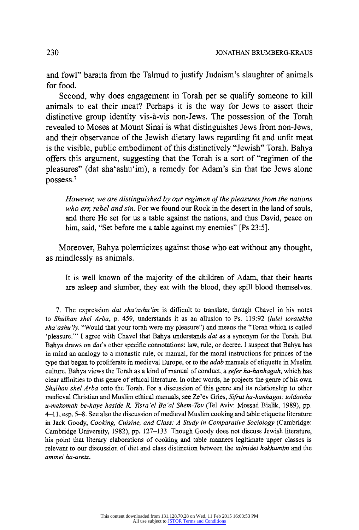**and fowl" baraita from the Talmud to justify Judaism's slaughter of animals for food.** 

**Second, why does engagement in Torah per se qualify someone to kill animals to eat their meat? Perhaps it is the way for Jews to assert their distinctive group identity vis-a-vis non-Jews. The possession of the Torah revealed to Moses at Mount Sinai is what distinguishes Jews from non-Jews, and their observance of the Jewish dietary laws regarding fit and unfit meat is the visible, public embodiment of this distinctively "Jewish" Torah. Bahya offers this argument, suggesting that the Torah is a sort of "regimen of the pleasures" (dat sha'ashu'im), a remedy for Adam's sin that the Jews alone possess.7** 

**However, we are distinguished by our regimen of the pleasures from the nations who err, rebel and sin. For we found our Rock in the desert in the land of souls, and there He set for us a table against the nations, and thus David, peace on him, said, "Set before me a table against my enemies" [Ps 23:5].** 

**Moreover, Bahya polemicizes against those who eat without any thought, as mindlessly as animals.** 

**It is well known of the majority of the children of Adam, that their hearts are asleep and slumber, they eat with the blood, they spill blood themselves.** 

**7. The expression dat sha'ashu'im is difficult to translate, though Chavel in his notes to Shulhan shel Arba, p. 459, understands it as an allusion to Ps. 119:92 (lulei toratekha sha 'ashu'iy, "Would that your torah were my pleasure") and means the "Torah which is called 'pleasure."' I agree with Chavel that Bahya understands dat as a synonym for the Torah. But Bahya draws on dat's other specific connotations: law, rule, or decree. I suspect that Bahya has in mind an analogy to a monastic rule, or manual, for the moral instructions for princes of the type that began to proliferate in medieval Europe, or to the adab manuals of etiquette in Muslim culture. Bahya views the Torah as a kind of manual of conduct, a sefer ha-hanhagah, which has clear affinities to this genre of ethical literature. In other words, he projects the genre of his own Shulhan shel Arba onto the Torah. For a discussion of this genre and its relationship to other medieval Christian and Muslim ethical manuals, see Ze'ev Gries, Sifrut ha-hanhagot: toldoteha u-mekomah be-haye haside R. Yisra 'el Ba 'al Shem-Tov (Tel Aviv: Mossad Bialik, 1989), pp. 4-11, esp. 5-8. See also the discussion of medieval Muslim cooking and table etiquette literature in Jack Goody, Cooking, Cuisine, and Class: A Study in Comparative Sociology (Cambridge: Cambridge University, 1982), pp. 127-133. Though Goody does not discuss Jewish literature, his point that literary elaborations of cooking and table manners legitimate upper classes is relevant to our discussion of diet and class distinction between the talmidei hakhamim and the ammei ha-aretz.**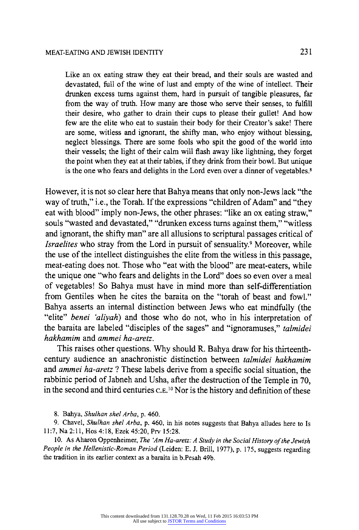**Like an ox eating straw they eat their bread, and their souls are wasted and devastated, full of the wine of lust and empty of the wine of intellect. Their**  drunken excess turns against them, hard in pursuit of tangible pleasures, far **from the way of truth. How many are those who serve their senses, to fulfill their desire, who gather to drain their cups to please their gullet! And how few are the elite who eat to sustain their body for their Creator's sake! There are some, witless and ignorant, the shifty man, who enjoy without blessing, neglect blessings. There are some fools who spit the good of the world into their vessels; the light of their calm will flash away like lightning, they forget the point when they eat at their tables, if they drink from their bowl. But unique is the one who fears and delights in the Lord even over a dinner of vegetables.8** 

**However, it is not so clear here that Bahya means that only non-Jews lack "the way of truth," i.e., the Torah. If the expressions "children of Adam" and "they eat with blood" imply non-Jews, the other phrases: "like an ox eating straw," souls "wasted and devastated," "drunken excess turns against them," "witless and ignorant, the shifty man" are all allusions to scriptural passages critical of Israelites who stray from the Lord in pursuit of sensuality.' Moreover, while the use of the intellect distinguishes the elite from the witless in this passage, meat-eating does not. Those who "eat with the blood" are meat-eaters, while the unique one "who fears and delights in the Lord" does so even over a meal of vegetables! So Bahya must have in mind more than self-differentiation from Gentiles when he cites the baraita on the "torah of beast and fowl." Bahya asserts an internal distinction between Jews who eat mindfully (the "elite" benei 'aliyah) and those who do not, who in his interpretation of the baraita are labeled "disciples of the sages" and "ignoramuses," talmidei hakhamim and ammei ha-aretz.** 

**This raises other questions. Why should R. Bahya draw for his thirteenthcentury audience an anachronistic distinction between talmidei hakhamim and ammei ha-aretz ? These labels derive from a specific social situation, the rabbinic period of Jabneh and Usha, after the destruction of the Temple in 70, in the second and third centuries C.E.10 Nor is the history and definition of these** 

**8. Bahya, Shulhan shel Arba, p. 460.** 

**9. Chavel, Shulhan shel Arba, p. 460, in his notes suggests that Bahya alludes here to Is 11:7, Na 2:11, Hos 4:18, Ezek 45:20, Prv 15:28.** 

**10. As Aharon Oppenheimer, The 'Am Ha-aretz: A Study in the Social History of the Jewish People in the Hellenistic-Roman Period (Leiden: E. J. Brill, 1977), p. 175, suggests regarding the tradition in its earlier context as a baraita in b.Pesah 49b.**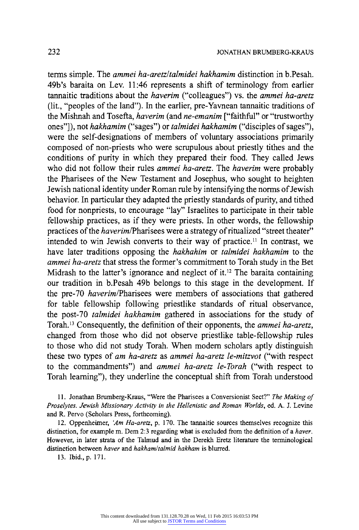**terms simple. The ammei ha-aretz/talmidei hakhamim distinction in b.Pesah. 49b's baraita on Lev. 11:46 represents a shift of terminology from earlier tannaitic traditions about the haverim ("colleagues") vs. the ammei ha-aretz (lit., "peoples of the land"). In the earlier, pre-Yavnean tannaitic traditions of the Mishnah and Tosefta, haverim (and ne-emanim ["faithful" or "trustworthy ones"]), not hakhamim ("sages") or talmidei hakhamim ("disciples of sages"), were the self-designations of members of voluntary associations primarily composed of non-priests who were scrupulous about priestly tithes and the conditions of purity in which they prepared their food. They called Jews who did not follow their rules ammei ha-aretz. The haverim were probably the Pharisees of the New Testament and Josephus, who sought to heighten Jewish national identity under Roman rule by intensifying the norms of Jewish behavior. In particular they adapted the priestly standards of purity, and tithed food for nonpriests, to encourage "lay" Israelites to participate in their table fellowship practices, as if they were priests. In other words, the fellowship**  practices of the *haverim*/Pharisees were a strategy of ritualized "street theater" **intended to win Jewish converts to their way of practice." In contrast, we have later traditions opposing the hakhahim or talmidei hakhamim to the ammei ha-aretz that stress the former's commitment to Torah study in the Bet Midrash to the latter's ignorance and neglect of it.12 The baraita containing our tradition in b.Pesah 49b belongs to this stage in the development. If the pre-70 haverim/Pharisees were members of associations that gathered for table fellowship following priestlike standards of ritual observance, the post-70 talmidei hakhamim gathered in associations for the study of Torah.'3 Consequently, the definition of their opponents, the ammei ha-aretz, changed from those who did not observe priestlike table-fellowship rules to those who did not study Torah. When modem scholars aptly distinguish these two types of am ha-aretz as ammei ha-aretz le-mitzvot ("with respect to the commandments") and ammei ha-aretz le-Torah ("with respect to Torah learning"), they underline the conceptual shift from Torah understood** 

**11. Jonathan Brumberg-Kraus, "Were the Pharisees a Conversionist Sect?" The Making of Proselytes. Jewish Missionary Activity in the Hellenistic and Roman Worlds, ed. A. J. Levine and R. Pervo (Scholars Press, forthcoming).** 

**12. Oppenheimer, 'Am Ha-aretz, p. 170. The tannaitic sources themselves recognize this distinction, for example m. Dem 2:3 regarding what is excluded from the definition of a haver. However, in later strata of the Talmud and in the Derekh Eretz literature the terminological distinction between haver and hakham/talmid hakham is blurred.** 

**13. Ibid., p. 171.**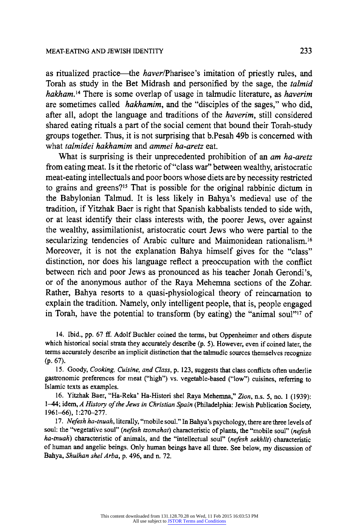**as ritualized practice-the haver/Pharisee's imitation of priestly rules, and Torah as study in the Bet Midrash and personified by the sage, the talmid hakham.'4 There is some overlap of usage in talmudic literature, as haverim are sometimes called hakhamim, and the "disciples of the sages," who did, after all, adopt the language and traditions of the haverim, still considered shared eating rituals a part of the social cement that bound their Torah-study groups together. Thus, it is not surprising that b.Pesah 49b is concerned with what talmidei hakhamim and ammei ha-aretz eat.** 

**What is surprising is their unprecedented prohibition of an am ha-aretz from eating meat. Is it the rhetoric of "class war" between wealthy, aristocratic meat-eating intellectuals and poor boors whose diets are by necessity restricted to grains and greens?"' That is possible for the original rabbinic dictum in the Babylonian Talmud. It is less likely in Bahya's medieval use of the tradition, if Yitzhak Baer is right that Spanish kabbalists tended to side with, or at least identify their class interests with, the poorer Jews, over against the wealthy, assimilationist, aristocratic court Jews who were partial to the secularizing tendencies of Arabic culture and Maimonidean rationalism.16 Moreover, it is not the explanation Bahya himself gives for the "class" distinction, nor does his language reflect a preoccupation with the conflict between rich and poor Jews as pronounced as his teacher Jonah Gerondi's, or of the anonymous author of the Raya Mehemna sections of the Zohar. Rather, Bahya resorts to a quasi-physiological theory of reincarnation to explain the tradition. Namely, only intelligent people, that is, people engaged**  in Torah, have the potential to transform (by eating) the "animal soul"<sup>17</sup> of

**14. Ibid., pp. 67 ff. Adolf Buchler coined the terms, but Oppenheimer and others dispute which historical social strata they accurately describe (p. 5). However, even if coined later, the terms accurately describe an implicit distinction that the talmudic sources themselves recognize (p. 67).** 

**15. Goody, Cooking, Cuisine, and Class, p. 123, suggests that class conflicts often underlie gastronomic preferences for meat ("high") vs. vegetable-based ("low") cuisines, referring to Islamic texts as examples.** 

**16. Yitzhak Baer, "Ha-Reka' Ha-Histori shel Raya Mehemna," Zion, n.s. 5, no. 1 (1939): 1-44; idem, A History of the Jews in Christian Spain (Philadelphia: Jewish Publication Society, 1961-66), 1:270-277.** 

**17. Nefesh ha-tnuah, literally, "mobile soul." In Bahya's psychology, there are three levels of soul: the "vegetative soul" (nefesh tzomahat) characteristic of plants, the "mobile soul" (nefesh ha-tnuah) characteristic of animals, and the "intellectual soul" (nefesh sekhlit) characteristic of human and angelic beings. Only human beings have all three. See below, my discussion of Bahya, Shulhan shel Arba, p. 496, and n. 72.**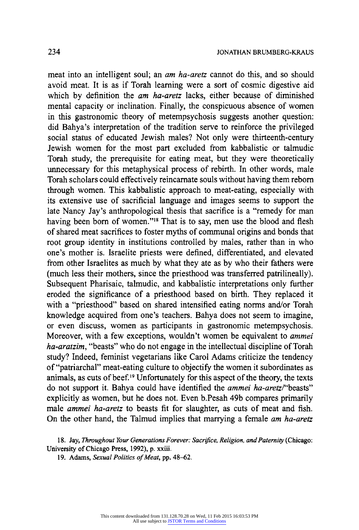**meat into an intelligent soul; an am ha-aretz cannot do this, and so should avoid meat. It is as if Torah learning were a sort of cosmic digestive aid which by definition the am ha-aretz lacks, either because of diminished mental capacity or inclination. Finally, the conspicuous absence of women in this gastronomic theory of metempsychosis suggests another question: did Bahya's interpretation of the tradition serve to reinforce the privileged social status of educated Jewish males? Not only were thirteenth-century Jewish women for the most part excluded from kabbalistic or talmudic Torah study, the prerequisite for eating meat, but they were theoretically unnecessary for this metaphysical process of rebirth. In other words, male Torah scholars could effectively reincarnate souls without having them reborn through women. This kabbalistic approach to meat-eating, especially with its extensive use of sacrificial language and images seems to support the late Nancy Jay's anthropological thesis that sacrifice is a "remedy for man**  having been born of women."<sup>18</sup> That is to say, men use the blood and flesh **of shared meat sacrifices to foster myths of communal origins and bonds that root group identity in institutions controlled by males, rather than in who one's mother is. Israelite priests were defined, differentiated, and elevated from other Israelites as much by what they ate as by who their fathers were (much less their mothers, since the priesthood was transferred patrilineally). Subsequent Pharisaic, talmudic, and kabbalistic interpretations only further eroded the significance of a priesthood based on birth. They replaced it with a "priesthood" based on shared intensified eating norms and/or Torah knowledge acquired from one's teachers. Bahya does not seem to imagine, or even discuss, women as participants in gastronomic metempsychosis. Moreover, with a few exceptions, wouldn't women be equivalent to ammei ha-aratzim, "beasts" who do not engage in the intellectual discipline of Torah study? Indeed, feminist vegetarians like Carol Adams criticize the tendency of "patriarchal" meat-eating culture to objectify the women it subordinates as animals, as cuts of beef.19 Unfortunately for this aspect of the theory, the texts do not support it. Bahya could have identified the ammei ha-aretz/"beasts" explicitly as women, but he does not. Even b.Pesah 49b compares primarily male ammei ha-aretz to beasts fit for slaughter, as cuts of meat and fish. On the other hand, the Talmud implies that marrying a female am ha-aretz** 

**<sup>18.</sup> Jay, Throughout Your Generations Forever: Sacrifice, Religion, and Paternity (Chicago: University of Chicago Press, 1992), p. xxiii.** 

**<sup>19.</sup> Adams, Sexual Politics of Meat, pp. 48-62.**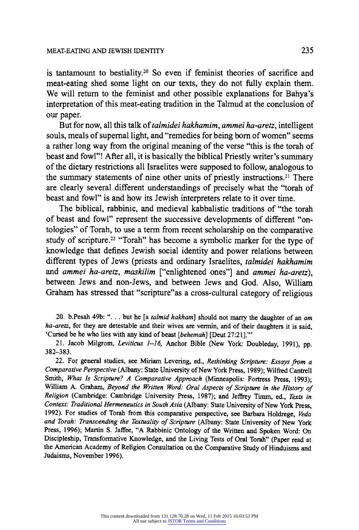is tantamount to bestiality.<sup>20</sup> So even if feminist theories of sacrifice and **meat-eating shed some light on our texts, they do not fully explain them. We will return to the feminist and other possible explanations for Bahya's interpretation of this meat-eating tradition in the Talmud at the conclusion of our paper.** 

**But for now, all this talk of talmidei hakhamim, ammei ha-aretz, intelligent**  souls, meals of supernal light, and "remedies for being born of women" seems **a rather long way from the original meaning of the verse "this is the torah of beast and fowl"! After all, it is basically the biblical Priestly writer's summary of the dietary restrictions all Israelites were supposed to follow, analogous to the summary statements of nine other units of priestly instructions.21 There are clearly several different understandings of precisely what the "torah of beast and fowl" is and how its Jewish interpreters relate to it over time.** 

**The biblical, rabbinic, and medieval kabbalistic traditions of "the torah of beast and fowl" represent the successive developments of different "ontologies" of Torah, to use a term from recent scholarship on the comparative study of scripture.22 "Torah" has become a symbolic marker for the type of knowledge that defines Jewish social identity and power relations between different types of Jews (priests and ordinary Israelites, talmidei hakhamim and ammei ha-aretz, maskilim ["enlightened ones"] and ammei ha-aretz), between Jews and non-Jews, and between Jews and God. Also, William Graham has stressed that "scripture"as a cross-cultural category of religious** 

**20. b.Pesah 49b: ". .. but he [a talmid hakham] should not marry the daughter of an am ha-aretz, for they are detestable and their wives are vermin, and of their daughters it is said, 'Cursed be he who lies with any kind of beast [behemah] [Deut 27:21]."'** 

**21. Jacob Milgrom, Leviticus 1-16, Anchor Bible (New York: Doubleday, 1991), pp. 382-383.** 

**22. For general studies, see Miriam Levering, ed., Rethinking Scripture: Essays from a Comparative Perspective (Albany: State University of New York Press, 1989); Wilfred Cantrell Smith, What Is Scripture? A Comparative Approach (Minneapolis: Fortress Press, 1993); William A. Graham, Beyond the Written Word: Oral Aspects of Scripture in the History of Religion (Cambridge: Cambridge University Press, 1987); and Jeffrey Timm, ed., Texts in Context: Traditional Hermeneutics in South Asia (Albany: State University of New York Press, 1992). For studies of Torah from this comparative perspective, see Barbara Holdrege, Veda and Torah: Transcending the Textuality of Scripture (Albany: State University of New York Press, 1996); Martin S. Jaffee, "A Rabbinic Ontology of the Written and Spoken Word: On Discipleship, Transformative Knowledge, and the Living Tests of Oral Torah" (Paper read at the American Academy of Religion Consultation on the Comparative Study of Hinduisms and Judaisms, November 1996).**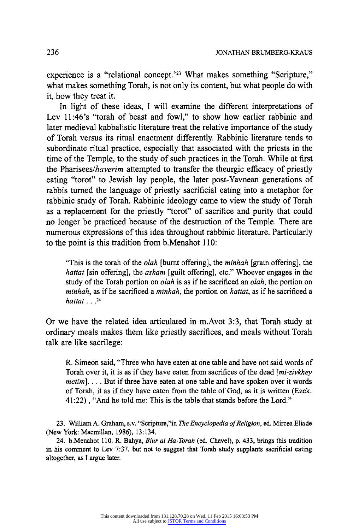**experience is a "relational concept.'23 What makes something "Scripture," what makes something Torah, is not only its content, but what people do with it, how they treat it.** 

**In light of these ideas, I will examine the different interpretations of Lev 11:46's "torah of beast and fowl," to show how earlier rabbinic and later medieval kabbalistic literature treat the relative importance of the study of Torah versus its ritual enactment differently. Rabbinic literature tends to subordinate ritual practice, especially that associated with the priests in the time of the Temple, to the study of such practices in the Torah. While at first the Pharisees/haverim attempted to transfer the theurgic efficacy of priestly eating "torot" to Jewish lay people, the later post-Yavnean generations of rabbis turned the language of priestly sacrificial eating into a metaphor for rabbinic study of Torah. Rabbinic ideology came to view the study of Torah as a replacement for the priestly "torot" of sacrifice and purity that could no longer be practiced because of the destruction of the Temple. There are numerous expressions of this idea throughout rabbinic literature. Particularly to the point is this tradition from b.Menahot 110:** 

**"This is the torah of the olah [burnt offering], the minhah [grain offering], the hattat [sin offering], the asham [guilt offering], etc." Whoever engages in the study of the Torah portion on olah is as if he sacrificed an olah, the portion on minhah, as if he sacrificed a minhah, the portion on hattat, as if he sacrificed a hattat ...24** 

**Or we have the related idea articulated in m.Avot 3:3, that Torah study at ordinary meals makes them like priestly sacrifices, and meals without Torah talk are like sacrilege:** 

**R. Simeon said, "Three who have eaten at one table and have not said words of Torah over it, it is as if they have eaten from sacrifices of the dead [mi-zivkhey metim]. ... But if three have eaten at one table and have spoken over it words of Torah, it as if they have eaten from the table of God, as it is written (Ezek. 41:22) , "And he told me: This is the table that stands before the Lord."** 

23. William A. Graham, s.v. "Scripture,"in The Encyclopedia of Religion, ed. Mircea Eliade **(New York: Macmillan, 1986), 13:134.** 

**24. b.Menahot 110. R. Bahya, Biur al Ha-Torah (ed. Chavel), p. 433, brings this tradition in his comment to Lev 7:37, but not to suggest that Torah study supplants sacrificial eating altogether, as I argue later.**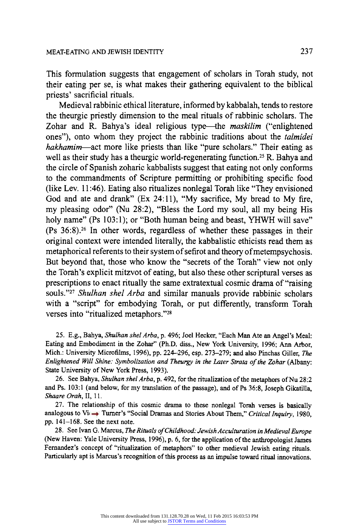**This formulation suggests that engagement of scholars in Torah study, not their eating per se, is what makes their gathering equivalent to the biblical priests' sacrificial rituals.** 

**Medieval rabbinic ethical literature, informed by kabbalah, tends to restore the theurgic priestly dimension to the meal rituals of rabbinic scholars. The Zohar and R. Bahya's ideal religious type-the maskilim ("enlightened ones"), onto whom they project the rabbinic traditions about the talmidei hakhamim-act more like priests than like "pure scholars." Their eating as well as their study has a theurgic world-regenerating function.25 R. Bahya and the circle of Spanish zoharic kabbalists suggest that eating not only conforms to the commandments of Scripture permitting or prohibiting specific food (like Lev. 11:46). Eating also ritualizes nonlegal Torah like "They envisioned God and ate and drank" (Ex 24:11), "My sacrifice, My bread to My fire, my pleasing odor" (Nu 28:2), "Bless the Lord my soul, all my being His holy name" (Ps 103:1); or "Both human being and beast, YHWH will save" (Ps 36:8).26 In other words, regardless of whether these passages in their original context were intended literally, the kabbalistic ethicists read them as metaphorical referents to their system of sefirot and theory of metempsychosis. But beyond that, those who know the "secrets of the Torah" view not only the Torah's explicit mitzvot of eating, but also these other scriptural verses as prescriptions to enact ritually the same extratextual cosmic drama of "raising souls."27 Shulhan shel Arba and similar manuals provide rabbinic scholars with a "script" for embodying Torah, or put differently, transform Torah verses into "ritualized metaphors."28** 

**25. E.g., Bahya, Shulhan shel Arba, p. 496; Joel Hecker, "Each Man Ate an Angel's Meal: Eating and Embodiment in the Zohar" (Ph.D. diss., New York University, 1996; Ann Arbor, Mich.: University Microfilms, 1996), pp. 224-296, esp. 273-279; and also Pinchas Giller, The Enlightened Will Shine: Symbolization and Theurgy in the Later Strata of the Zohar (Albany: State University of New York Press, 1993).** 

**26. See Bahya, Shulhan shel Arba, p. 492, for the ritualization of the metaphors of Nu 28:2 and Ps. 103:1 (and below, for my translation of the passage), and of Ps 36:8, Joseph Gikatilla, Shaare Orah, II, 11.** 

**27. The relationship of this cosmic drama to these nonlegal Torah verses is basically**  analogous to Vi<sup>(</sup>  $\rightarrow$  Turner's "Social Dramas and Stories About Them," Critical Inquiry, 1980, **pp. 141-168. See the next note.** 

**28. See Ivan G. Marcus, The Rituals ofChildhood: Jewish Acculturation in Medieval Europe (New Haven: Yale University Press, 1996), p. 6, for the application of the anthropologist James Fernandez's concept of "ritualization of metaphors" to other medieval Jewish eating rituals. Particularly apt is Marcus's recognition of this process as an impulse toward ritual innovations.**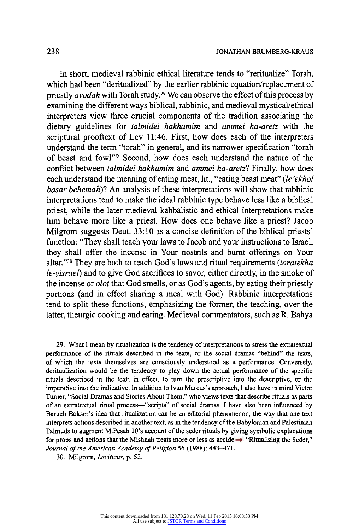**In short, medieval rabbinic ethical literature tends to "reritualize" Torah, which had been "deritualized" by the earlier rabbinic equation/replacement of priestly avodah with Torah study.29 We can observe the effect of this process by examining the different ways biblical, rabbinic, and medieval mystical/ethical interpreters view three crucial components of the tradition associating the dietary guidelines for talmidei hakhamim and ammei ha-aretz with the scriptural prooftext of Lev 11:46. First, how does each of the interpreters understand the term "torah" in general, and its narrower specification "torah of beast and fowl"? Second, how does each understand the nature of the conflict between talmidei hakhamim and ammei ha-aretz? Finally, how does each understand the meaning of eating meat, lit., "eating beast meat" (le 'ekhol basar behemah)? An analysis of these interpretations will show that rabbinic interpretations tend to make the ideal rabbinic type behave less like a biblical priest, while the later medieval kabbalistic and ethical interpretations make him behave more like a priest. How does one behave like a priest? Jacob Milgrom suggests Deut. 33:10 as a concise definition of the biblical priests' function: "They shall teach your laws to Jacob and your instructions to Israel, they shall offer the incense in Your nostrils and burnt offerings on Your**  altar."<sup>30</sup> They are both to teach God's laws and ritual requirements (toratekha **le-yisrael) and to give God sacrifices to savor, either directly, in the smoke of the incense or olot that God smells, or as God's agents, by eating their priestly portions (and in effect sharing a meal with God). Rabbinic interpretations tend to split these functions, emphasizing the former, the teaching, over the latter, theurgic cooking and eating. Medieval commentators, such as R. Bahya** 

**29. What I mean by ritualization is the tendency of interpretations to stress the extratextual performance of the rituals described in the texts, or the social dramas "behind" the texts, of which the texts themselves are consciously understood as a performance. Conversely, deritualization would be the tendency to play down the actual performance of the specific rituals described in the text; in effect, to turn the prescriptive into the descriptive, or the imperative into the indicative. In addition to Ivan Marcus's approach, I also have in mind Victor Turner, "Social Dramas and Stories About Them," who views texts that describe rituals as parts of an extratextual ritual process-"scripts" of social dramas. I have also been influenced by Baruch Bokser's idea that ritualization can be an editorial phenomenon, the way that one text interprets actions described in another text, as in the tendency of the Babylonian and Palestinian Talmuds to augment M.Pesah 10's account of the seder rituals by giving symbolic explanations**  for props and actions that the Mishnah treats more or less as accide  $\rightarrow$  "Ritualizing the Seder," **Journal of the American Academy of Religion 56 (1988): 443-471.** 

**30. Milgrom, Leviticus, p. 52.**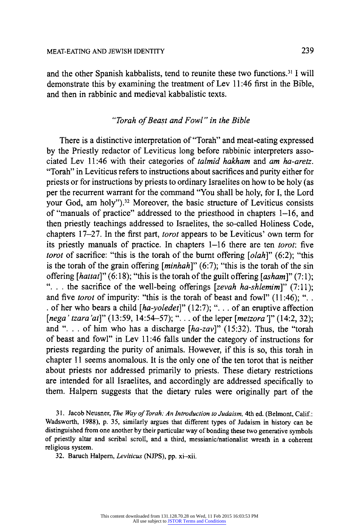**and the other Spanish kabbalists, tend to reunite these two functions.31 I will demonstrate this by examining the treatment of Lev 11:46 first in the Bible, and then in rabbinic and medieval kabbalistic texts.** 

# **"Torah of Beast and Fowl " in the Bible**

**There is a distinctive interpretation of "Torah" and meat-eating expressed by the Priestly redactor of Leviticus long before rabbinic interpreters associated Lev 11:46 with their categories of talmid hakham and am ha-aretz. "Torah" in Leviticus refers to instructions about sacrifices and purity either for priests or for instructions by priests to ordinary Israelites on how to be holy (as per the recurrent warrant for the command "You shall be holy, for I, the Lord your God, am holy").32 Moreover, the basic structure of Leviticus consists of "manuals of practice" addressed to the priesthood in chapters 1-16, and then priestly teachings addressed to Israelites, the so-called Holiness Code, chapters 17-27. In the first part, torot appears to be Leviticus' own term for its priestly manuals of practice. In chapters 1-16 there are ten torot: five torot of sacrifice: "this is the torah of the burnt offering [olah]" (6:2); "this is the torah of the grain offering [minhah]" (6:7); "this is the torah of the sin offering [hattat]" (6:18); "this is the torah of the guilt offering [asham]" (7:1); ". .. the sacrifice of the well-being offerings [zevah ha-shlemim]" (7:11);**  and five *torot* of impurity: "this is the torah of beast and fowl" (11:46); "... **. of her who bears a child [ha-yoledet]" (12:7); ". .. of an eruptive affection [nega' tzara 'at]" (13:59, 14:54-57); ". . . of the leper [metzora 1" (14:2, 32); and ". . . of him who has a discharge [ha-zav]" (15:32). Thus, the "torah of beast and fowl" in Lev 11:46 falls under the category of instructions for priests regarding the purity of animals. However, if this is so, this torah in chapter 11 seems anomalous. It is the only one of the ten torot that is neither about priests nor addressed primarily to priests. These dietary restrictions are intended for all Israelites, and accordingly are addressed specifically to them. Halpern suggests that the dietary rules were originally part of the** 

**31. Jacob Neusner, The Way of Torah: An Introduction to Judaism, 4th ed. (Belmont, Calif.: Wadsworth, 1988), p. 35, similarly argues that different types of Judaism in history can be distinguished from one another by their particular way of bonding these two generative symbols of priestly altar and scribal scroll, and a third, messianic/nationalist wreath in a coherent religious system.** 

**32. Baruch Halpern, Leviticus (NJPS), pp. xi-xii.**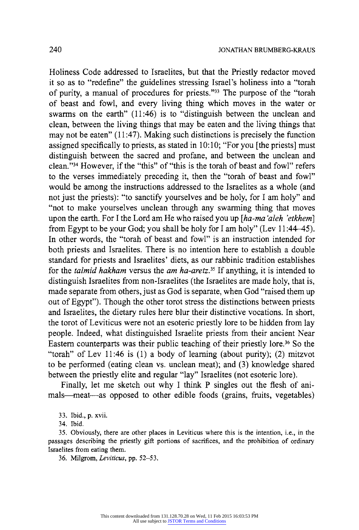**Holiness Code addressed to Israelites, but that the Priestly redactor moved it so as to "redefine" the guidelines stressing Israel's holiness into a "torah of purity, a manual of procedures for priests."33 The purpose of the "torah of beast and fowl, and every living thing which moves in the water or swarms on the earth" (11:46) is to "distinguish between the unclean and clean, between the living things that may be eaten and the living things that may not be eaten" (11:47). Making such distinctions is precisely the function assigned specifically to priests, as stated in 10:10; "For you [the priests] must distinguish between the sacred and profane, and between the unclean and clean."34 However, if the "this" of "this is the torah of beast and fowl" refers to the verses immediately preceding it, then the "torah of beast and fowl" would be among the instructions addressed to the Israelites as a whole (and not just the priests): "to sanctify yourselves and be holy, for I am holy" and "not to make yourselves unclean through any swarming thing that moves upon the earth. For I the Lord am He who raised you up [ha-ma 'aleh 'etkhem] from Egypt to be your God; you shall be holy for I am holy" (Lev 11:44-45). In other words, the "torah of beast and fowl" is an instruction intended for both priests and Israelites. There is no intention here to establish a double standard for priests and Israelites' diets, as our rabbinic tradition establishes for the talmid hakham versus the am ha-aretz.35 If anything, it is intended to distinguish Israelites from non-Israelites (the Israelites are made holy, that is, made separate from others, just as God is separate, when God "raised them up out of Egypt"). Though the other torot stress the distinctions between priests and Israelites, the dietary rules here blur their distinctive vocations. In short, the torot of Leviticus were not an esoteric priestly lore to be hidden from lay people. Indeed, what distinguished Israelite priests from their ancient Near Eastern counterparts was their public teaching of their priestly lore.36 So the "torah" of Lev 11:46 is (1) a body of learning (about purity); (2) mitzvot to be performed (eating clean vs. unclean meat); and (3) knowledge shared between the priestly elite and regular "lay" Israelites (not esoteric lore).** 

**Finally, let me sketch out why I think P singles out the flesh of ani**mals—meat—as opposed to other edible foods (grains, fruits, vegetables)

**33. Ibid., p. xvii.** 

**34. Ibid.** 

**35. Obviously, there are other places in Leviticus where this is the intention, i.e., in the passages describing the priestly gift portions of sacrifices, and the prohibition of ordinary Israelites from eating them.** 

**36. Milgrom, Leviticus, pp. 52-53.**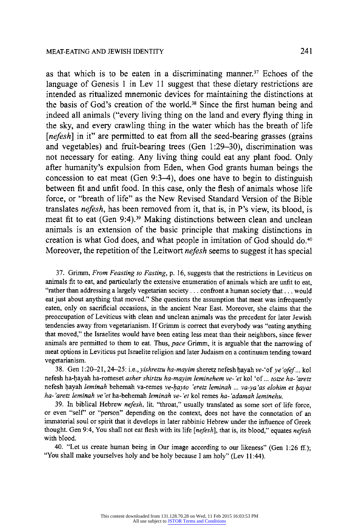**as that which is to be eaten in a discriminating manner.37" Echoes of the language of Genesis 1 in Lev 11 suggest that these dietary restrictions are intended as ritualized mnemonic devices for maintaining the distinctions at the basis of God's creation of the world.38 Since the first human being and indeed all animals ("every living thing on the land and every flying thing in the sky, and every crawling thing in the water which has the breath of life [nefesh] in it" are permitted to eat from all the seed-bearing grasses (grains and vegetables) and fruit-bearing trees (Gen 1:29-30), discrimination was not necessary for eating. Any living thing could eat any plant food. Only after humanity's expulsion from Eden, when God grants human beings the concession to eat meat (Gen 9:3-4), does one have to begin to distinguish between fit and unfit food. In this case, only the flesh of animals whose life force, or "breath of life" as the New Revised Standard Version of the Bible translates nefesh, has been removed from it, that is, in P's view, its blood, is meat fit to eat (Gen 9:4).39 Making distinctions between clean and unclean animals is an extension of the basic principle that making distinctions in creation is what God does, and what people in imitation of God should do.40 Moreover, the repetition of the Leitwort nefesh seems to suggest it has special** 

**37. Grimm, From Feasting to Fasting, p. 16, suggests that the restrictions in Leviticus on animals fit to eat, and particularly the extensive enumeration of animals which are unfit to eat, "rather than addressing a largely vegetarian society ... confront a human society that ... would eat just about anything that moved." She questions the assumption that meat was infrequently eaten, only on sacrificial occasions, in the ancient Near East. Moreover, she claims that the preoccupation of Leviticus with clean and unclean animals was the precedent for later Jewish tendencies away from vegetarianism. If Grimm is correct that everybody was "eating anything that moved," the Israelites would have been eating less meat than their neighbors, since fewer animals are permitted to them to eat. Thus, pace Grimm, it is arguable that the narrowing of meat options in Leviticus put Israelite religion and later Judaism on a continuum tending toward vegetarianism.** 

**38. Gen 1:20-21, 24-25: i.e., yishretzu ha-mayim sheretz nefesh hayah ve-'of ye 'ofef... kol nefesh ha-hayah ha-romeset asher shirtzu ha-mayim leminehem ve-'et kol 'of... totze ha-'aretz nefesh hayah leminah behemah va-remes ve-hayto 'eretz leminah ... va-ya 'as elohim et hayat ha-'aretz leminah ve 'et ha-behemah leminah ve- 'et kol remes ha-'adamah leminehu.** 

**39. In biblical Hebrew nefesh, lit. "throat," usually translated as some sort of life force, or even "self' or "person" depending on the context, does not have the connotation of an immaterial soul or spirit that it develops in later rabbinic Hebrew under the influence of Greek thought. Gen 9:4, You shall not eat flesh with its life [nefesh], that is, its blood," equates nefesh with blood.** 

**40. "Let us create human being in Our image according to our likeness" (Gen 1:26 ff.); "You shall make yourselves holy and be holy because I am holy" (Lev 11:44).**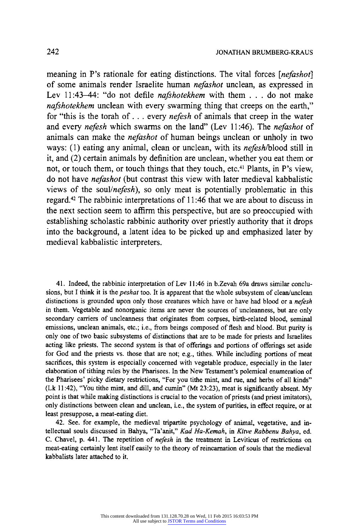**meaning in P's rationale for eating distinctions. The vital forces [nefashot] of some animals render Israelite human nefashot unclean, as expressed in Lev 11:43-44: "do not defile nafshotekhem with them . . . do not make nafshotekhem unclean with every swarming thing that creeps on the earth," for "this is the torah of... every nefesh of animals that creep in the water and every nefesh which swarms on the land" (Lev 11:46). The nefashot of animals can make the nefashot of human beings unclean or unholy in two ways: (1) eating any animal, clean or unclean, with its nefesh/blood still in it, and (2) certain animals by definition are unclean, whether you eat them or not, or touch them, or touch things that they touch, etc.41 Plants, in P's view, do not have nefashot (but contrast this view with later medieval kabbalistic views of the soul/nefesh), so only meat is potentially problematic in this regard.42 The rabbinic interpretations of 11:46 that we are about to discuss in the next section seem to affirm this perspective, but are so preoccupied with establishing scholastic rabbinic authority over priestly authority that it drops into the background, a latent idea to be picked up and emphasized later by medieval kabbalistic interpreters.** 

**41. Indeed, the rabbinic interpretation of Lev 11:46 in b.Zevah 69a draws similar conclusions, but I think it is the peshat too. It is apparent that the whole subsystem of clean/unclean distinctions is grounded upon only those creatures which have or have had blood or a nefesh in them. Vegetable and nonorganic items are never the sources of uncleanness, but are only secondary carriers of uncleanness that originates from corpses, birth-related blood, seminal emissions, unclean animals, etc.; i.e., from beings composed of flesh and blood. But purity is only one of two basic subsystems of distinctions that are to be made for priests and Israelites acting like priests. The second system is that of offerings and portions of offerings set aside for God and the priests vs. those that are not; e.g., tithes. While including portions of meat sacrifices, this system is especially concerned with vegetable produce, especially in the later elaboration of tithing rules by the Pharisees. In the New Testament's polemical enumeration of the Pharisees' picky dietary restrictions, "For you tithe mint, and rue, and herbs of all kinds" (Lk 11:42), "You tithe mint, and dill, and cumin" (Mt 23:23), meat is significantly absent. My point is that while making distinctions is crucial to the vocation of priests (and priest imitators), only distinctions between clean and unclean, i.e., the system of purities, in effect require, or at least presuppose, a meat-eating diet.** 

**42. See. for example, the medieval tripartite psychology of animal, vegetative, and intellectual souls discussed in Bahya, "Ta'anit," Kad Ha-Kemah, in Kitve Rabbenu Bahya, ed. C. Chavel, p. 441. The repetition of nefesh in the treatment in Leviticus of restrictions on meat-eating certainly lent itself easily to the theory of reincarnation of souls that the medieval kabbalists later attached to it.**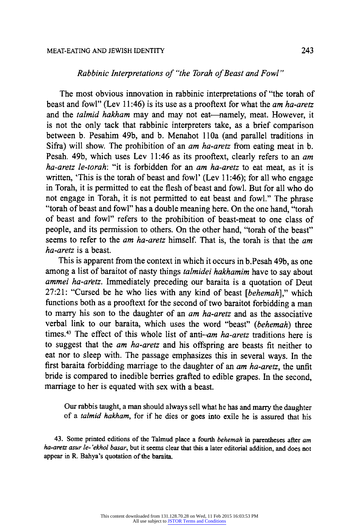### **Rabbinic Interpretations of "the Torah of Beast and Fowl"**

**The most obvious innovation in rabbinic interpretations of "the torah of beast and fowl" (Lev 11:46) is its use as a prooftext for what the am ha-aretz**  and the *talmid hakham* may and may not eat—namely, meat. However, it **is not the only tack that rabbinic interpreters take, as a brief comparison between b. Pesahim 49b, and b. Menahot 110a (and parallel traditions in Sifra) will show. The prohibition of an am ha-aretz from eating meat in b. Pesah. 49b, which uses Lev 11:46 as its prooftext, clearly refers to an am ha-aretz le-torah: "it is forbidden for an am ha-aretz to eat meat, as it is written, 'This is the torah of beast and fowl' (Lev 11:46); for all who engage in Torah, it is permitted to eat the flesh of beast and fowl. But for all who do not engage in Torah, it is not permitted to eat beast and fowl." The phrase "torah of beast and fowl" has a double meaning here. On the one hand, "torah of beast and fowl" refers to the prohibition of beast-meat to one class of people, and its permission to others. On the other hand, "torah of the beast" seems to refer to the am ha-aretz himself. That is, the torah is that the am ha-aretz is a beast.** 

**This is apparent from the context in which it occurs in b.Pesah 49b, as one among a list of baraitot of nasty things talmidei hakhamim have to say about ammei ha-aretz. Immediately preceding our baraita is a quotation of Deut 27:21: "Cursed be he who lies with any kind of beast [behemah]," which functions both as a prooftext for the second of two baraitot forbidding a man to marry his son to the daughter of an am ha-aretz and as the associative verbal link to our baraita, which uses the word "beast" (behemah) three times.43 The effect of this whole list of anti-am ha-aretz traditions here is to suggest that the am ha-aretz and his offspring are beasts fit neither to eat nor to sleep with. The passage emphasizes this in several ways. In the first baraita forbidding marriage to the daughter of an am ha-aretz, the unfit bride is compared to inedible berries grafted to edible grapes. In the second, marriage to her is equated with sex with a beast.** 

**Our rabbis taught, a man should always sell what he has and marry the daughter of a talmid hakham, for if he dies or goes into exile he is assured that his** 

**43. Some printed editions of the Talmud place a fourth behemah in parentheses after am**  ha-aretz asur le-'ekhol basar, but it seems clear that this a later editorial addition, and does not **appear in R. Bahya's quotation of the baraita.**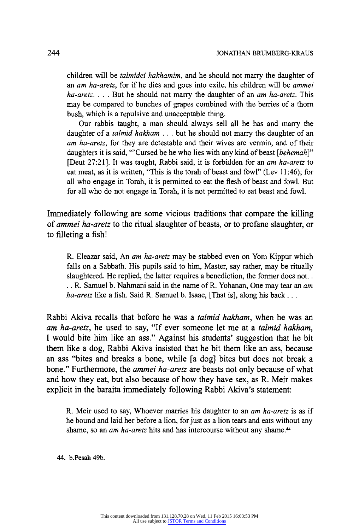**children will be talmidei hakhamim, and he should not marry the daughter of an am ha-aretz, for if he dies and goes into exile, his children will be ammei ha-aretz. ... But he should not marry the daughter of an am ha-aretz. This may be compared to bunches of grapes combined with the berries of a thorn bush, which is a repulsive and unacceptable thing.** 

**Our rabbis taught, a man should always sell all he has and marry the daughter of a talmid hakham . . . but he should not marry the daughter of an am ha-aretz, for they are detestable and their wives are vermin, and of their daughters it is said, "'Cursed be he who lies with any kind of beast [behemah]" [Deut 27:21]. It was taught, Rabbi said, it is forbidden for an am ha-aretz to eat meat, as it is written, "This is the torah of beast and fowl" (Lev 11:46); for all who engage in Torah, it is permitted to eat the flesh of beast and fowl. But for all who do not engage in Torah, it is not permitted to eat beast and fowl.** 

**Immediately following are some vicious traditions that compare the killing of ammei ha-aretz to the ritual slaughter of beasts, or to profane slaughter, or to filleting a fish!** 

**R. Eleazar said, An am ha-aretz may be stabbed even on Yom Kippur which falls on a Sabbath. His pupils said to him, Master, say rather, may be ritually slaughtered. He replied, the latter requires a benediction, the former does not. . .. R. Samuel b. Nahmani said in the name of R. Yohanan, One may tear an am ha-aretz like a fish. Said R. Samuel b. Isaac, [That is], along his back ...** 

**Rabbi Akiva recalls that before he was a talmid hakham, when he was an am ha-aretz, he used to say, "If ever someone let me at a talmid hakham, I would bite him like an ass." Against his students' suggestion that he bit them like a dog, Rabbi Akiva insisted that he bit them like an ass, because an ass "bites and breaks a bone, while [a dog] bites but does not break a bone." Furthermore, the ammei ha-aretz are beasts not only because of what and how they eat, but also because of how they have sex, as R. Meir makes explicit in the baraita immediately following Rabbi Akiva's statement:** 

**R. Meir used to say, Whoever marries his daughter to an am ha-aretz is as if he bound and laid her before a lion, for just as a lion tears and eats without any shame, so an am ha-aretz hits and has intercourse without any shame.44** 

**44. b.Pesah 49b.**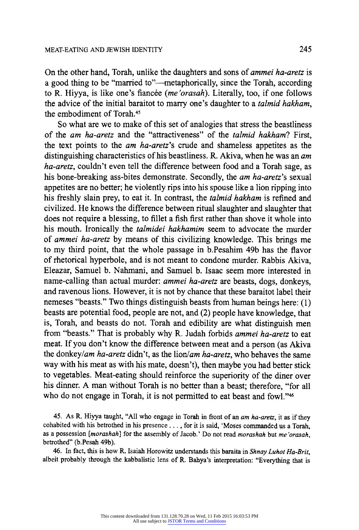**On the other hand, Torah, unlike the daughters and sons of ammei ha-aretz is a good thing to be "married to"--metaphorically, since the Torah, according**  to R. Hiyya, is like one's fiancée (me'orasah). Literally, too, if one follows the advice of the initial baraitot to marry one's daughter to a *talmid hakham*, **the embodiment of Torah.45** 

**So what are we to make of this set of analogies that stress the beastliness of the am ha-aretz and the "attractiveness" of the talmid hakham? First, the text points to the am ha-aretz's crude and shameless appetites as the distinguishing characteristics of his beastliness. R. Akiva, when he was an am ha-aretz, couldn't even tell the difference between food and a Torah sage, as his bone-breaking ass-bites demonstrate. Secondly, the am ha-aretz's sexual appetites are no better; he violently rips into his spouse like a lion ripping into his freshly slain prey, to eat it. In contrast, the talmid hakham is refined and civilized. He knows the difference between ritual slaughter and slaughter that does not require a blessing, to fillet a fish first rather than shove it whole into his mouth. Ironically the talmidei hakhamim seem to advocate the murder of ammei ha-aretz by means of this civilizing knowledge. This brings me to my third point, that the whole passage in b.Pesahim 49b has the flavor of rhetorical hyperbole, and is not meant to condone murder. Rabbis Akiva, Eleazar, Samuel b. Nahmani, and Samuel b. Isaac seem more interested in name-calling than actual murder: ammei ha-aretz are beasts, dogs, donkeys, and ravenous lions. However, it is not by chance that these baraitot label their nemeses "beasts." Two things distinguish beasts from human beings here: (1) beasts are potential food, people are not, and (2) people have knowledge, that is, Torah, and beasts do not. Torah and edibility are what distinguish men from "beasts." That is probably why R. Judah forbids ammei ha-aretz to eat meat. If you don't know the difference between meat and a person (as Akiva the donkey/am ha-aretz didn't, as the lion/am ha-aretz, who behaves the same way with his meat as with his mate, doesn't), then maybe you had better stick to vegetables. Meat-eating should reinforce the superiority of the diner over his dinner. A man without Torah is no better than a beast; therefore, "for all who do not engage in Torah, it is not permitted to eat beast and fowl."46** 

**45. As R. Hiyya taught, "All who engage in Torah in front of an am ha-aretz, it as if they cohabited with his betrothed in his presence .. , for it is said, 'Moses commanded us a Torah,**  as a possession [morashah] for the assembly of Jacob.' Do not read morashah but me'orasah, **betrothed" (b.Pesah 49b).** 

**46. In fact, this is how R. Isaiah Horowitz understands this baraita in Shnay Luhot Ha-Brit, albeit probably through the kabbalistic lens of R. Bahya's interpretation: "Everything that is**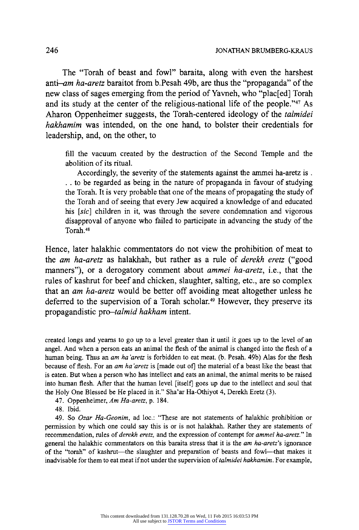**The "Torah of beast and fowl" baraita, along with even the harshest anti-am ha-aretz baraitot from b.Pesah 49b, are thus the "propaganda" of the new class of sages emerging from the period of Yavneh, who "plac[ed] Torah and its study at the center of the religious-national life of the people."47 As Aharon Oppenheimer suggests, the Torah-centered ideology of the talmidei hakhamim was intended, on the one hand, to bolster their credentials for leadership, and, on the other, to** 

**fill the vacuum created by the destruction of the Second Temple and the abolition of its ritual.** 

**Accordingly, the severity of the statements against the ammei ha-aretz is. . to be regarded as being in the nature of propaganda in favour of studying the Torah. It is very probable that one of the means of propagating the study of the Torah and of seeing that every Jew acquired a knowledge of and educated his [sic] children in it, was through the severe condemnation and vigorous disapproval of anyone who failed to participate in advancing the study of the Torah.48** 

**Hence, later halakhic commentators do not view the prohibition of meat to the am ha-aretz as halakhah, but rather as a rule of derekh eretz ("good**  manners"), or a derogatory comment about *ammei ha-aretz*, *i.e.*, that the **rules of kashrut for beef and chicken, slaughter, salting, etc., are so complex that an am ha-aretz would be better off avoiding meat altogether unless he deferred to the supervision of a Torah scholar.49 However, they preserve its propagandistic pro-talmid hakham intent.** 

**created longs and yearns to go up to a level greater than it until it goes up to the level of an angel. And when a person eats an animal the flesh of the animal is changed into the flesh of a human being. Thus an am ha 'aretz is forbidden to eat meat. (b. Pesah. 49b) Alas for the flesh because of flesh. For an am ha 'aretz is [made out of] the material of a beast like the beast that is eaten. But when a person who has intellect and eats an animal, the animal merits to be raised into human flesh. After that the human level [itself] goes up due to the intellect and soul that the Holy One Blessed be He placed in it." Sha'ar Ha-Othiyot 4, Derekh Eretz (3).** 

**47. Oppenheimer, Am Ha-aretz, p. 184.** 

**48. Ibid.** 

**49. So Ozar Ha-Geonim, ad loc.: "These are not statements of halakhic prohibition or permission by which one could say this is or is not halakhah. Rather they are statements of recommendation, rules of derekh eretz, and the expression of contempt for ammei ha-aretz." In general the halakhic commentators on this baraita stress that it is the am ha-aretz's ignorance**  of the "torah" of kashrut-the slaughter and preparation of beasts and fowl--that makes it **inadvisable for them to eat meat if not under the supervision of talmidei hakhamim. For example,**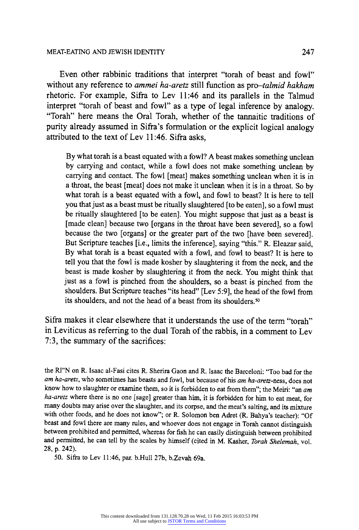#### **MEAT-EATING AND JEWISH IDENTITY 247**

**Even other rabbinic traditions that interpret "torah of beast and fowl" without any reference to ammei ha-aretz still function as pro-talmid hakham rhetoric. For example, Sifra to Lev 11:46 and its parallels in the Talmud interpret "torah of beast and fowl" as a type of legal inference by analogy. "Torah" here means the Oral Torah, whether of the tannaitic traditions of purity already assumed in Sifra's formulation or the explicit logical analogy attributed to the text of Lev 11:46. Sifra asks,** 

**By what torah is a beast equated with a fowl? A beast makes something unclean by carrying and contact, while a fowl does not make something unclean by carrying and contact. The fowl [meat] makes something unclean when it is in a throat, the beast [meat] does not make it unclean when it is in a throat. So by what torah is a beast equated with a fowl, and fowl to beast? It is here to tell you that just as a beast must be ritually slaughtered [to be eaten], so a fowl must be ritually slaughtered [to be eaten]. You might suppose that just as a beast is [made clean] because two [organs in the throat have been severed], so a fowl because the two [organs] or the greater part of the two [have been severed]. But Scripture teaches [i.e., limits the inference], saying "this." R. Eleazar said, By what torah is a beast equated with a fowl, and fowl to beast? It is here to tell you that the fowl is made kosher by slaughtering it from the neck, and the beast is made kosher by slaughtering it from the neck. You might think that just as a fowl is pinched from the shoulders, so a beast is pinched from the shoulders. But Scripture teaches "its head" [Lev 5:9], the head of the fowl from its shoulders, and not the head of a beast from its shoulders.50** 

**Sifra makes it clear elsewhere that it understands the use of the term "torah" in Leviticus as referring to the dual Torah of the rabbis, in a comment to Lev 7:3, the summary of the sacrifices:** 

**the RI"N on R. Isaac al-Fasi cites R. Sherira Gaon and R. Isaac the Barceloni: "Too bad for the am ha-aretz, who sometimes has beasts and fowl, but because of his am ha-aretz-ness, does not know how to slaughter or examine them, so it is forbidden to eat from them"; the Meiri: "an am ha-aretz where there is no one [sage] greater than him, it is forbidden for him to eat meat, for many doubts may arise over the slaughter, and its corpse, and the meat's salting, and its mixture with other foods, and he does not know"; or R. Solomon ben Adret (R. Bahya's teacher): "Of beast and fowl there are many rules, and whoever does not engage in Torah cannot distinguish between prohibited and permitted, whereas for fish he can easily distinguish between prohibited and permitted, he can tell by the scales by himself (cited in M. Kasher, Torah Shelemah, vol. 28, p. 242).** 

**50. Sifra to Lev 11:46, par. b.Hull 27b, b.Zevah 69a.**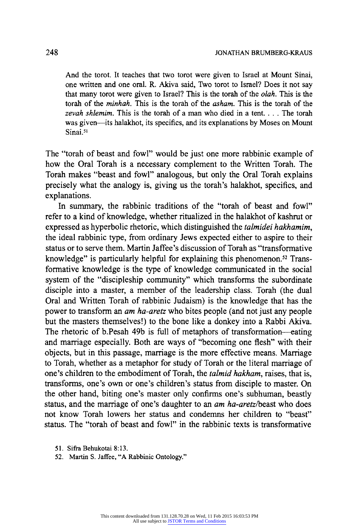**And the torot. It teaches that two torot were given to Israel at Mount Sinai, one written and one oral. R. Akiva said, Two torot to Israel? Does it not say that many torot were given to Israel? This is the torah of the olah. This is the torah of the minhah. This is the torah of the asham. This is the torah of the zevah shlemim. This is the torah of a man who died in a tent. ... The torah was given-its halakhot, its specifics, and its explanations by Moses on Mount**  Sinai.<sup>51</sup>

**The "torah of beast and fowl" would be just one more rabbinic example of how the Oral Torah is a necessary complement to the Written Torah. The Torah makes "beast and fowl" analogous, but only the Oral Torah explains precisely what the analogy is, giving us the torah's halakhot, specifics, and explanations.** 

**In summary, the rabbinic traditions of the "torah of beast and fowl" refer to a kind of knowledge, whether ritualized in the halakhot of kashrut or expressed as hyperbolic rhetoric, which distinguished the talmidei hakhamim, the ideal rabbinic type, from ordinary Jews expected either to aspire to their status or to serve them. Martin Jaffee's discussion of Torah as "transformative knowledge" is particularly helpful for explaining this phenomenon.52 Transformative knowledge is the type of knowledge communicated in the social system of the "discipleship community" which transforms the subordinate disciple into a master, a member of the leadership class. Torah (the dual Oral and Written Torah of rabbinic Judaism) is the knowledge that has the power to transform an am ha-aretz who bites people (and not just any people but the masters themselves!) to the bone like a donkey into a Rabbi Akiva. The rhetoric of b.Pesah 49b is full of metaphors of transformation--eating and marriage especially. Both are ways of "becoming one flesh" with their objects, but in this passage, marriage is the more effective means. Marriage to Torah, whether as a metaphor for study of Torah or the literal marriage of one's children to the embodiment of Torah, the talmid hakham, raises, that is, transforms, one's own or one's children's status from disciple to master. On the other hand, biting one's master only confirms one's subhuman, beastly status, and the marriage of one's daughter to an am ha-aretz/beast who does not know Torah lowers her status and condemns her children to "beast" status. The "torah of beast and fowl" in the rabbinic texts is transformative** 

- **51. Sifra Behukotai 8:13.**
- **52. Martin S. Jaffee, "A Rabbinic Ontology."**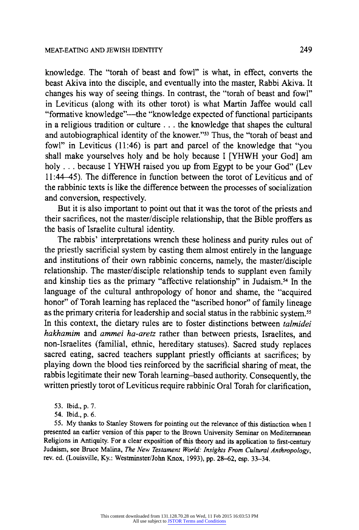**knowledge. The "torah of beast and fowl" is what, in effect, converts the beast Akiva into the disciple, and eventually into the master, Rabbi Akiva. It changes his way of seeing things. In contrast, the "torah of beast and fowl" in Leviticus (along with its other torot) is what Martin Jaffee would call "formative knowledge"--the "knowledge expected of functional participants in a religious tradition or culture ... the knowledge that shapes the cultural and autobiographical identity of the knower."53" Thus, the "torah of beast and fowl" in Leviticus (11:46) is part and parcel of the knowledge that "you shall make yourselves holy and be holy because I [YHWH your God] am holy ... because I YHWH raised you up from Egypt to be your God" (Lev 11:44-45). The difference in function between the torot of Leviticus and of the rabbinic texts is like the difference between the processes of socialization and conversion, respectively.** 

**But it is also important to point out that it was the torot of the priests and their sacrifices, not the master/disciple relationship, that the Bible proffers as the basis of Israelite cultural identity.** 

**The rabbis' interpretations wrench these holiness and purity rules out of the priestly sacrificial system by casting them almost entirely in the language and institutions of their own rabbinic concerns, namely, the master/disciple relationship. The master/disciple relationship tends to supplant even family and kinship ties as the primary "affective relationship" in Judaism.54 In the language of the cultural anthropology of honor and shame, the "acquired honor" of Torah learning has replaced the "ascribed honor" of family lineage as the primary criteria for leadership and social status in the rabbinic system."5 In this context, the dietary rules are to foster distinctions between talmidei hakhamim and ammei ha-aretz rather than between priests, Israelites, and non-Israelites (familial, ethnic, hereditary statuses). Sacred study replaces sacred eating, sacred teachers supplant priestly officiants at sacrifices; by playing down the blood ties reinforced by the sacrificial sharing of meat, the rabbis legitimate their new Torah learning-based authority. Consequently, the written priestly torot of Leviticus require rabbinic Oral Torah for clarification,** 

- **53. Ibid., p. 7.**
- **54. Ibid., p. 6.**

**55. My thanks to Stanley Stowers for pointing out the relevance of this distinction when I presented an earlier version of this paper to the Brown University Seminar on Mediterranean Religions in Antiquity. For a clear exposition of this theory and its application to first-century Judaism, see Bruce Malina, The New Testament World: Insights From Cultural Anthropology, rev. ed. (Louisville, Ky.: Westminster/John Knox, 1993), pp. 28-62, esp. 33-34.**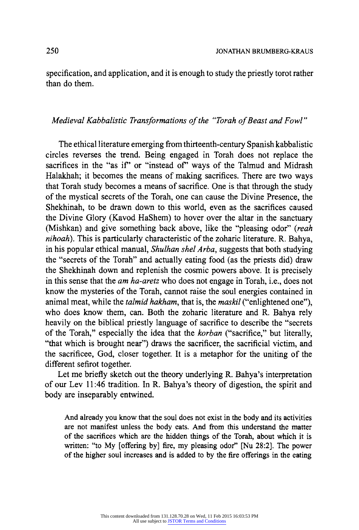**specification, and application, and it is enough to study the priestly torot rather than do them.** 

# **Medieval Kabbalistic Transformations of the "Torah of Beast and Fowl"**

**The ethical literature emerging from thirteenth-century Spanish kabbalistic circles reverses the trend. Being engaged in Torah does not replace the**  sacrifices in the "as if" or "instead of" ways of the Talmud and Midrash **Halakhah; it becomes the means of making sacrifices. There are two ways that Torah study becomes a means of sacrifice. One is that through the study of the mystical secrets of the Torah, one can cause the Divine Presence, the Shekhinah, to be drawn down to this world, even as the sacrifices caused the Divine Glory (Kavod HaShem) to hover over the altar in the sanctuary (Mishkan) and give something back above, like the "pleasing odor" (reah nihoah). This is particularly characteristic of the zoharic literature. R. Bahya, in his popular ethical manual, Shulhan shel Arba, suggests that both studying the "secrets of the Torah" and actually eating food (as the priests did) draw the Shekhinah down and replenish the cosmic powers above. It is precisely in this sense that the am ha-aretz who does not engage in Torah, i.e., does not know the mysteries of the Torah, cannot raise the soul energies contained in animal meat, while the talmid hakham, that is, the maskil ("enlightened one"), who does know them, can. Both the zoharic literature and R. Bahya rely heavily on the biblical priestly language of sacrifice to describe the "secrets of the Torah," especially the idea that the korban ("sacrifice," but literally, "that which is brought near") draws the sacrificer, the sacrificial victim, and the sacrificee, God, closer together. It is a metaphor for the uniting of the different sefirot together.** 

**Let me briefly sketch out the theory underlying R. Bahya's interpretation of our Lev 11:46 tradition. In R. Bahya's theory of digestion, the spirit and body are inseparably entwined.** 

And already you know that the soul does not exist in the body and its activities **are not manifest unless the body eats. And from this understand the matter of the sacrifices which are the hidden things of the Torah, about which it is written: "to My [offering by] fire, my pleasing odor" [Nu 28:2]. The power of the higher soul increases and is added to by the fire offerings in the eating**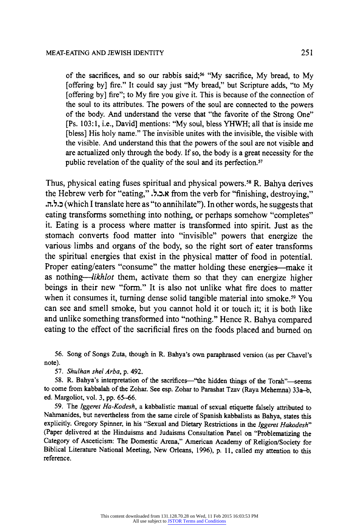of the sacrifices, and so our rabbis said;<sup>56</sup> "My sacrifice, My bread, to My **[offering by] fire." It could say just "My bread," but Scripture adds, "to My [offering by] fire"; to My fire you give it. This is because of the connection of the soul to its attributes. The powers of the soul are connected to the powers of the body. And understand the verse that "the favorite of the Strong One" [Ps. 103:1, i.e., David] mentions: "My soul, bless YHWH; all that is inside me [bless] His holy name." The invisible unites with the invisible, the visible with the visible. And understand this that the powers of the soul are not visible and are actualized only through the body. If so, the body is a great necessity for the public revelation of the quality of the soul and its perfection."** 

**Thus, physical eating fuses spiritual and physical powers."5 R. Bahya derives the Hebrew verb for "eating," ...**  $\lambda$ **, ... <b>from the verb for "finishing, destroying,"** eating transforms something into nothing, or perhaps somehow "completes" **(which I translate here as "to annihilate"). In other words, he suggests that it. Eating is a process where matter is transformed into spirit. Just as the stomach converts food matter into "invisible" powers that energize the various limbs and organs of the body, so the right sort of eater transforms the spiritual energies that exist in the physical matter of food in potential.**  Proper eating/eaters "consume" the matter holding these energies—make it **as nothing--likhlot them, activate them so that they can energize higher beings in their new "form." It is also not unlike what fire does to matter when it consumes it, turning dense solid tangible material into smoke.59 You can see and smell smoke, but you cannot hold it or touch it; it is both like and unlike something transformed into "nothing." Hence R. Bahya compared eating to the effect of the sacrificial fires on the foods placed and burned on** 

**56. Song of Songs Zuta, though in R. Bahya's own paraphrased version (as per Chavel's note).** 

**57. Shulhan shel Arba, p. 492.** 

**58. R. Bahya's interpretation of the sacrifices-"the hidden things of the Torah"--seems to come from kabbalah of the Zohar. See esp. Zohar to Parashat Tzav (Raya Mehemna) 33a-b, ed. Margoliot, vol. 3, pp. 65-66.** 

**59. The Iggeret Ha-Kodesh, a kabbalistic manual of sexual etiquette falsely attributed to Nahmanides, but nevertheless from the same circle of Spanish kabbalists as Bahya, states this explicitly. Gregory Spinner, in his "Sexual and Dietary Restrictions in the Iggeret Hakodesh" (Paper delivered at the Hinduisms and Judaisms Consultation Panel on "Problematizing the Category of Asceticism: The Domestic Arena," American Academy of Religion/Society for Biblical Literature National Meeting, New Orleans, 1996), p. 11, called my attention to this reference.**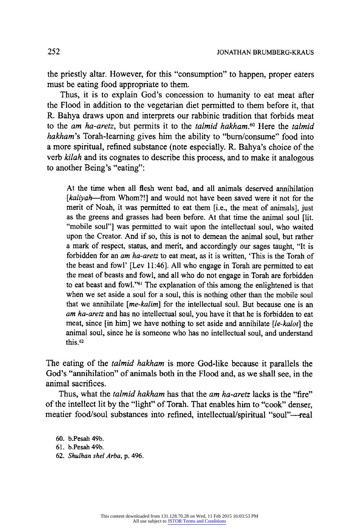**the priestly altar. However, for this "consumption" to happen, proper eaters must be eating food appropriate to them.** 

**Thus, it is to explain God's concession to humanity to eat meat after the Flood in addition to the vegetarian diet permitted to them before it, that R. Bahya draws upon and interprets our rabbinic tradition that forbids meat to the am ha-aretz, but permits it to the talmid hakham.60 Here the talmid hakham's Torah-learning gives him the ability to "burn/consume" food into a more spiritual, refined substance (note especially. R. Bahya's choice of the verb kilah and its cognates to describe this process, and to make it analogous to another Being's "eating":** 

**At the time when all flesh went bad, and all animals deserved annihilation [kaliyah-from Whom?!] and would not have been saved were it not for the merit of Noah, it was permitted to eat them [i.e., the meat of animals], just as the greens and grasses had been before. At that time the animal soul [lit. "mobile soul"] was permitted to wait upon the intellectual soul, who waited upon the Creator. And if so, this is not to demean the animal soul, but rather a mark of respect, status, and merit, and accordingly our sages taught, "It is forbidden for an am ha-aretz to eat meat, as it is written, 'This is the Torah of the beast and fowl' [Lev 11:46]. All who engage in Torah are permitted to eat the meat of beasts and fowl, and all who do not engage in Torah are forbidden to eat beast and fowl."6' The explanation of this among the enlightened is that when we set aside a soul for a soul, this is nothing other than the mobile soul that we annihilate [me-kalim] for the intellectual soul. But because one is an am ha-aretz and has no intellectual soul, you have it that he is forbidden to eat meat, since [in him] we have nothing to set aside and annihilate [le-kalot] the animal soul, since he is someone who has no intellectual soul, and understand this.62** 

**The eating of the talmid hakham is more God-like because it parallels the God's "annihilation" of animals both in the Flood and, as we shall see, in the animal sacrifices.** 

**Thus, what the talmid hakham has that the am ha-aretz lacks is the "fire" of the intellect lit by the "light" of Torah. That enables him to "cook" denser,**  meatier food/soul substances into refined, intellectual/spiritual "soul"-real

**60. b.Pesah 49b.** 

**62. Shulhan shel Arba, p. 496.** 

**<sup>61.</sup> b.Pesah 49b.**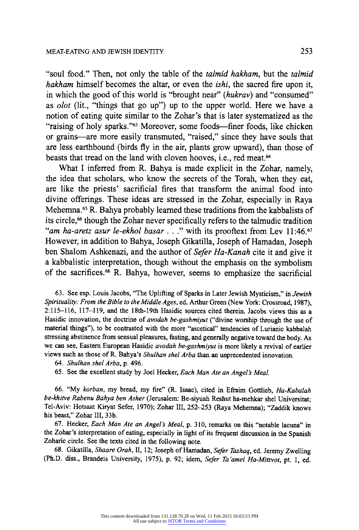**"soul food." Then, not only the table of the talmid hakham, but the talmid hakham himself becomes the altar, or even the ishi, the sacred fire upon it, in which the good of this world is "brought near" (hukrav) and "consumed" as olot (lit., "things that go up") up to the upper world. Here we have a notion of eating quite similar to the Zohar's that is later systematized as the "raising of holy sparks."63 Moreover, some foods-finer foods, like chicken or grains-are more easily transmuted, "raised," since they have souls that are less earthbound (birds fly in the air, plants grow upward), than those of beasts that tread on the land with cloven hooves, i.e., red meat.64** 

**What I inferred from R. Bahya is made explicit in the Zohar, namely, the idea that scholars, who know the secrets of the Torah, when they eat, are like the priests' sacrificial fires that transform the animal food into divine offerings. These ideas are stressed in the Zohar, especially in Raya Mehemna.65 R. Bahya probably learned these traditions from the kabbalists of its circle,66 though the Zohar never specifically refers to the talmudic tradition "am ha-aretz asur le-ekhol basar ..." with its prooftext from Lev 11:46.67 However, in addition to Bahya, Joseph Gikatilla, Joseph of Hamadan, Joseph ben Shalom Ashkenazi, and the author of Sefer Ha-Kanah cite it and give it a kabbalistic interpretation, though without the emphasis on the symbolism of the sacrifices.68 R. Bahya, however, seems to emphasize the sacrificial** 

**63. See esp. Louis Jacobs, "The Uplifting of Sparks in Later Jewish Mysticism," in Jewish Spirituality: From the Bible to the Middle Ages, ed. Arthur Green (New York: Crossroad, 1987), 2:115-116, 117-119, and the 18th-19th Hasidic sources cited therein. Jacobs views this as a Hasidic innovation, the doctrine of avodah be-gashmiyut ("divine worship through the use of material things"), to be contrasted with the more "ascetical" tendencies of Lurianic kabbalah stressing abstinence from sensual pleasures, fasting, and generally negative toward the body. As we can see, Eastern European Hasidic avodah be-gashmiyut is more likely a revival of earlier views such as those of R. Bahya's Shulhan shel Arba than an unprecedented innovation.** 

- **64. Shulhan shel Arba, p. 496.**
- **65. See the excellent study by Joel Hecker, Each Man Ate an Angel's Meal.**

**66. "My korban, my bread, my fire" (R. Isaac), cited in Efraim Gottlieb, Ha-Kabalah be-khitve Rabenu Bahya ben Asher (Jerusalem: Be-siyuah Reshut ha-mehkar shel Universitat; Tel-Aviv: Hotsaat Kiryat Sefer, 1970); Zohar III, 252-253 (Raya Mehemna); "Zaddik knows his beast," Zohar III, 33b.** 

67. Hecker, *Each Man Ate an Angel's Meal*, p. 310, remarks on this "notable lacuna" in <br>Zobar's interpretation of eating especially in light of its frequent disquasion in the Special. **the Zohar's interpretation of eating, especially in light of its frequent discussion in the Spanish Zoharic circle. See the texts cited in the following note.** 

**68. Gikatilla, Shaare Orah, II, 12; Joseph of Hamadan, Sefer Tashaq, ed. Jeremy Zwelling (Ph.D. diss., Brandeis University, 1975), p. 92; idem, Sefer Ta'amei Ha-Mitzvot, pt. 1, ed.**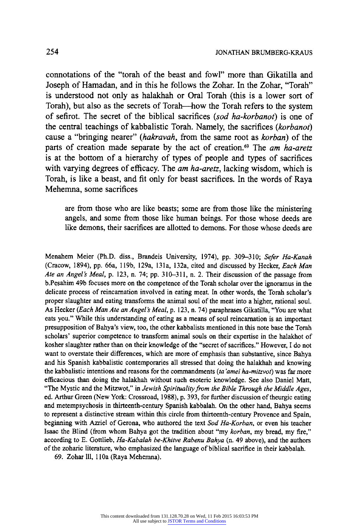**connotations of the "torah of the beast and fowl" more than Gikatilla and Joseph of Hamadan, and in this he follows the Zohar. In the Zohar, "Torah" is understood not only as halakhah or Oral Torah (this is a lower sort of Torah), but also as the secrets of Torah-how the Torah refers to the system of sefirot. The secret of the biblical sacrifices (sod ha-korbanot) is one of the central teachings of kabbalistic Torah. Namely, the sacrifices (korbanot) cause a "bringing nearer" (hakravah, from the same root as korban) of the parts of creation made separate by the act of creation.69 The am ha-aretz is at the bottom of a hierarchy of types of people and types of sacrifices with varying degrees of efficacy. The am ha-aretz, lacking wisdom, which is Torah, is like a beast, and fit only for beast sacrifices. In the words of Raya Mehemna, some sacrifices** 

**are from those who are like beasts; some are from those like the ministering angels, and some from those like human beings. For those whose deeds are like demons, their sacrifices are allotted to demons. For those whose deeds are** 

**Menahem Meier (Ph.D. diss., Brandeis University, 1974), pp. 309-310; Sefer Ha-Kanah (Cracow, 1894), pp. 66a, 119b, 129a, 131a, 132a, cited and discussed by Hecker, Each Man Ate an Angel's Meal, p. 123, n. 74; pp. 310-311, n. 2. Their discussion of the passage from b.Pesahim 49b focuses more on the competence of the Torah scholar over the ignoramus in the delicate process of reincarnation involved in eating meat. In other words, the Torah scholar's proper slaughter and eating transforms the animal soul of the meat into a higher, rational soul. As Hecker (Each Man Ate an Angel's Meal, p. 123, n. 74) paraphrases Gikatilla, "You are what eats you." While this understanding of eating as a means of soul reincarnation isan important presupposition of Bahya's view, too, the other kabbalists mentioned in this note base the Torah scholars' superior competence to transform animal souls on their expertise in the halakhot of kosher slaughter rather than on their knowledge of the "secret of sacrifices." However, I do not want to overstate their differences, which are more of emphasis than substantive, since Bahya and his Spanish kabbalistic contemporaries all stressed that doing the halakhah and knowing the kabbalistic intentions and reasons for the commandments (ta 'amei ha-mitzvot) was far more efficacious than doing the halakhah without such esoteric knowledge. See also Daniel Matt, "The Mystic and the Mitzwot," in Jewish Spirituality from the Bible Through the Middle Ages, ed. Arthur Green (New York: Crossroad, 1988), p. 393, for further discussion of theurgic eating and metempsychosis in thirteenth-century Spanish kabbalah. On the other hand, Bahya seems to represent a distinctive stream within this circle from thirteenth-century Provence and Spain, beginning with Azriel of Gerona, who authored the text Sod Ha-Korban, or even his teacher Isaac the Blind (from whom Bahya got the tradition about "my korban, my bread, my fire," according to E. Gottlieb, Ha-Kabalah be-Khitve Rabenu Bahya (n. 49 above), and the authors of the zoharic literature, who emphasized the language of biblical sacrifice in their kabbalah.** 

**69. Zohar 111, 110a (Raya Mehemna).**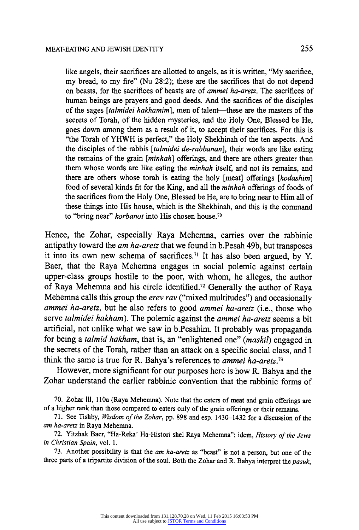**like angels, their sacrifices are allotted to angels, as it is written, "My sacrifice, my bread, to my fire" (Nu 28:2); these are the sacrifices that do not depend on beasts, for the sacrifices of beasts are of ammei ha-aretz. The sacrifices of human beings are prayers and good deeds. And the sacrifices of the disciples of the sages [talmidei hakhamim], men of talent-these are the masters of the secrets of Torah, of the hidden mysteries, and the Holy One, Blessed be He, goes down among them as a result of it, to accept their sacrifices. For this is "the Torah of YHWH is perfect," the Holy Shekhinah of the ten aspects. And the disciples of the rabbis [talmidei de-rabbanan], their words are like eating the remains of the grain [minhah] offerings, and there are others greater than them whose words are like eating the minhah itself, and not its remains, and there are others whose torah is eating the holy [meat] offerings [kodashim] food of several kinds fit for the King, and all the minhah offerings of foods of the sacrifices from the Holy One, Blessed be He, are to bring near to Him all of these things into His house, which is the Shekhinah, and this is the command to "bring near" korbanot into His chosen house.7"** 

**Hence, the Zohar, especially Raya Mehemna, carries over the rabbinic antipathy toward the am ha-aretz that we found in b.Pesah 49b, but transposes it into its own new schema of sacrifices." It has also been argued, by Y. Baer, that the Raya Mehemna engages in social polemic against certain upper-class groups hostile to the poor, with whom, he alleges, the author of Raya Mehemna and his circle identified.72 Generally the author of Raya Mehemna calls this group the erev rav ("mixed multitudes") and occasionally ammei ha-aretz, but he also refers to good ammei ha-aretz (i.e., those who serve talmidei hakham). The polemic against the ammei ha-aretz seems a bit artificial, not unlike what we saw in b.Pesahim. It probably was propaganda for being a talmid hakham, that is, an "enlightened one" (maskil) engaged in the secrets of the Torah, rather than an attack on a specific social class, and I think the same is true for R. Bahya's references to ammei ha-aretz.73** 

**However, more significant for our purposes here is how R. Bahya and the Zohar understand the earlier rabbinic convention that the rabbinic forms of** 

**70. Zohar 111, 110a (Raya Mehemna). Note that the eaters of meat and grain offerings are of a higher rank than those compared to eaters only of the grain offerings or their remains.** 

**71. See Tishby, Wisdom of the Zohar, pp. 898 and esp. 1430-1432 for a discussion of the am ha-aretz in Raya Mehemna.** 

**72. Yitzhak Baer, "Ha-Reka' Ha-Histori shel Raya Mehemna"; idem, History of the Jews in Christian Spain, vol. 1.** 

**73. Another possibility is that the am ha-aretz as "beast" is not a person, but one of the three parts of a tripartite division of the soul. Both the Zohar and R. Bahya interpret the pasuk,**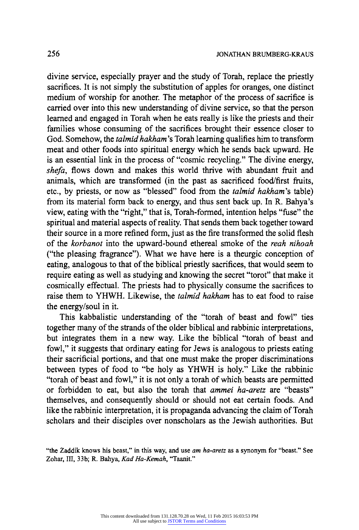**divine service, especially prayer and the study of Torah, replace the priestly sacrifices. It is not simply the substitution of apples for oranges, one distinct medium of worship for another. The metaphor of the process of sacrifice is carried over into this new understanding of divine service, so that the person learned and engaged in Torah when he eats really is like the priests and their families whose consuming of the sacrifices brought their essence closer to God. Somehow, the talmid hakham's Torah learning qualifies him to transform meat and other foods into spiritual energy which he sends back upward. He is an essential link in the process of "cosmic recycling." The divine energy, shefa, flows down and makes this world thrive with abundant fruit and animals, which are transformed (in the past as sacrificed food/first fruits, etc., by priests, or now as "blessed" food from the talmid hakham's table) from its material form back to energy, and thus sent back up. In R. Bahya's view, eating with the "right," that is, Torah-formed, intention helps "fuse" the spiritual and material aspects of reality. That sends them back together toward their source in a more refined form, just as the fire transformed the solid flesh of the korbanot into the upward-bound ethereal smoke of the reah nihoah ("the pleasing fragrance"). What we have here is a theurgic conception of eating, analogous to that of the biblical priestly sacrifices, that would seem to require eating as well as studying and knowing the secret "torot" that make it cosmically effectual. The priests had to physically consume the sacrifices to raise them to YHWH. Likewise, the talmid hakham has to eat food to raise the energy/soul in it.** 

**This kabbalistic understanding of the "torah of beast and fowl" ties together many of the strands of the older biblical and rabbinic interpretations, but integrates them in a new way. Like the biblical "torah of beast and fowl," it suggests that ordinary eating for Jews is analogous to priests eating their sacrificial portions, and that one must make the proper discriminations between types of food to "be holy as YHWH is holy." Like the rabbinic "torah of beast and fowl," it is not only a torah of which beasts are permitted or forbidden to eat, but also the torah that ammei ha-aretz are "beasts" themselves, and consequently should or should not eat certain foods. And**  like the rabbinic interpretation, it is propaganda advancing the claim of Torah **scholars and their disciples over nonscholars as the Jewish authorities. But** 

**<sup>&</sup>quot;the Zaddik knows his beast," in this way, and use am ha-aretz as a synonym for "beast." See Zohar, III, 33b; R. Bahya, Kad Ha-Kemah, "Taanit."**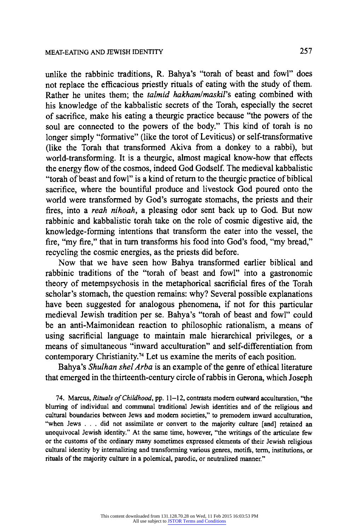**unlike the rabbinic traditions, R. Bahya's "torah of beast and fowl" does not replace the efficacious priestly rituals of eating with the study of them. Rather he unites them; the talmid hakham/maskil's eating combined with his knowledge of the kabbalistic secrets of the Torah, especially the secret of sacrifice, make his eating a theurgic practice because "the powers of the soul are connected to the powers of the body." This kind of torah is no longer simply "formative" (like the torot of Leviticus) or self-transformative (like the Torah that transformed Akiva from a donkey to a rabbi), but world-transforming. It is a theurgic, almost magical know-how that effects the energy flow of the cosmos, indeed God Godself. The medieval kabbalistic "torah of beast and fowl" is a kind of return to the theurgic practice of biblical sacrifice, where the bountiful produce and livestock God poured onto the world were transformed by God's surrogate stomachs, the priests and their fires, into a reah nihoah, a pleasing odor sent back up to God. But now rabbinic and kabbalistic torah take on the role of cosmic digestive aid, the knowledge-forming intentions that transform the eater into the vessel, the fire, "my fire," that in turn transforms his food into God's food, "my bread," recycling the cosmic energies, as the priests did before.** 

**Now that we have seen how Bahya transformed earlier biblical and rabbinic traditions of the "torah of beast and fowl" into a gastronomic theory of metempsychosis in the metaphorical sacrificial fires of the Torah scholar's stomach, the question remains: why? Several possible explanations have been suggested for analogous phenomena, if not for this particular medieval Jewish tradition per se. Bahya's "torah of beast and fowl" could be an anti-Maimonidean reaction to philosophic rationalism, a means of using sacrificial language to maintain male hierarchical privileges, or a means of simultaneous "inward acculturation" and self-differentiation from contemporary Christianity.74 Let us examine the merits of each position.** 

**Bahya's Shulhan shel Arba is an example of the genre of ethical literature that emerged in the thirteenth-century circle of rabbis in Gerona, which Joseph** 

**74. Marcus, Rituals of Childhood, pp. 11-12, contrasts modem outward acculturation, "the blurring of individual and communal traditional Jewish identities and of the religious and cultural boundaries between Jews and modem societies," to premodern inward acculturation, "when Jews . . . did not assimilate or convert to the majority culture [and] retained an unequivocal Jewish identity." At the same time, however, "the writings of the articulate few or the customs of the ordinary many sometimes expressed elements of their Jewish religious cultural identity by internalizing and transforming various genres, motifs, term, institutions, or rituals of the majority culture in a polemical, parodic, or neutralized manner."**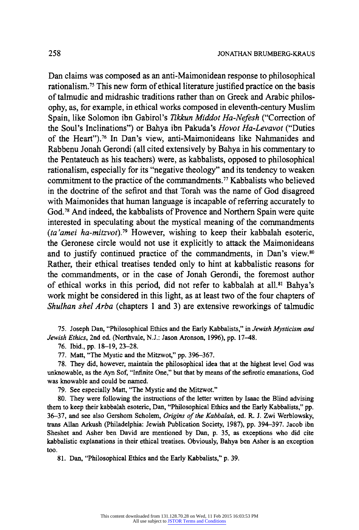**Dan claims was composed as an anti-Maimonidean response to philosophical rationalism." This new form of ethical literature justified practice on the basis of talmudic and midrashic traditions rather than on Greek and Arabic philosophy, as, for example, in ethical works composed in eleventh-century Muslim Spain, like Solomon ibn Gabirol's Tikkun Middot Ha-Nefesh ("Correction of the Soul's Inclinations") or Bahya ibn Pakuda's Hovot Ha-Levavot ("Duties of the Heart").76 In Dan's view, anti-Maimonideans like Nahmanides and Rabbenu Jonah Gerondi (all cited extensively by Bahya in his commentary to the Pentateuch as his teachers) were, as kabbalists, opposed to philosophical rationalism, especially for its "negative theology" and its tendency to weaken**  commitment to the practice of the commandments.<sup>77</sup> Kabbalists who believed **in the doctrine of the sefirot and that Torah was the name of God disagreed with Maimonides that human language is incapable of referring accurately to God.78 And indeed, the kabbalists of Provence and Northern Spain were quite interested in speculating about the mystical meaning of the commandments (ta'amei ha-mitzvot).79 However, wishing to keep their kabbalah esoteric, the Geronese circle would not use it explicitly to attack the Maimonideans and to justify continued practice of the commandments, in Dan's view.80 Rather, their ethical treatises tended only to hint at kabbalistic reasons for the commandments, or in the case of Jonah Gerondi, the foremost author of ethical works in this period, did not refer to kabbalah at all.81 Bahya's work might be considered in this light, as at least two of the four chapters of Shulhan shel Arba (chapters 1 and 3) are extensive reworkings of talmudic** 

**75. Joseph Dan, "Philosophical Ethics and the Early Kabbalists," in Jewish Mysticism and Jewish Ethics, 2nd ed. (Northvale, N.J.: Jason Aronson, 1996), pp. 17-48.** 

**76. Ibid., pp. 18-19, 23-28.** 

**77. Matt, "The Mystic and the Mitzwot," pp. 396-367.** 

**78. They did, however, maintain the philosophical idea that at the highest level God was unknowable, as the Ayn Sof, "Infinite One," but that by means of the sefirotic emanations, God was knowable and could be named.** 

**79. See especially Matt, "The Mystic and the Mitzwot."** 

**80. They were following the instructions of the letter written by Isaac the Blind advising them to keep their kabbalah esoteric, Dan, "Philosophical Ethics and the Early Kabbalists," pp. 36-37, and see also Gershom Scholem, Origins of the Kabbalah, ed. R. J. Zwi Werblowsky, trans Allan Arkush (Philadelphia: Jewish Publication Society, 1987), pp. 394-397. Jacob ibn Sheshet and Asher ben David are mentioned by Dan, p. 35, as exceptions who did cite kabbalistic explanations in their ethical treatises. Obviously, Bahya ben Asher is an exception too.** 

**81. Dan, "Philosophical Ethics and the Early Kabbalists," p. 39.**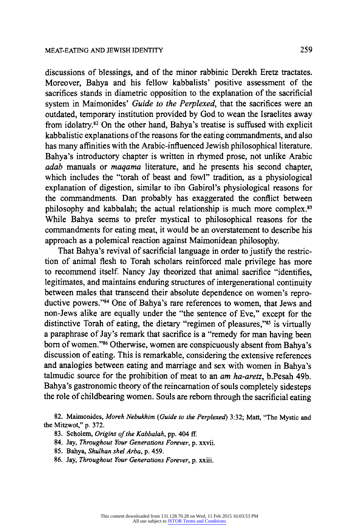**discussions of blessings, and of the minor rabbinic Derekh Eretz tractates. Moreover, Bahya and his fellow kabbalists' positive assessment of the sacrifices stands in diametric opposition to the explanation of the sacrificial system in Maimonides' Guide to the Perplexed, that the sacrifices were an outdated, temporary institution provided by God to wean the Israelites away from idolatry.82 On the other hand, Bahya's treatise is suffused with explicit kabbalistic explanations of the reasons for the eating commandments, and also has many affinities with the Arabic-influenced Jewish philosophical literature. Bahya's introductory chapter is written in rhymed prose, not unlike Arabic adab manuals or maqama literature, and he presents his second chapter, which includes the "torah of beast and fowl" tradition, as a physiological explanation of digestion, similar to ibn Gabirol's physiological reasons for the commandments. Dan probably has exaggerated the conflict between philosophy and kabbalah; the actual relationship is much more complex.83 While Bahya seems to prefer mystical to philosophical reasons for the commandments for eating meat, it would be an overstatement to describe his approach as a polemical reaction against Maimonidean philosophy.** 

**That Bahya's revival of sacrificial language in order to justify the restriction of animal flesh to Torah scholars reinforced male privilege has more to recommend itself. Nancy Jay theorized that animal sacrifice "identifies, legitimates, and maintains enduring structures of intergenerational continuity between males that transcend their absolute dependence on women's reproductive powers."84 One of Bahya's rare references to women, that Jews and non-Jews alike are equally under the "the sentence of Eve," except for the**  distinctive Torah of eating, the dietary "regimen of pleasures,"<sup>85</sup> is virtually **a paraphrase of Jay's remark that sacrifice is a "remedy for man having been born of women."86 Otherwise, women are conspicuously absent from Bahya's discussion of eating. This is remarkable, considering the extensive references and analogies between eating and marriage and sex with women in Bahya's talmudic source for the prohibition of meat to an am ha-aretz, b.Pesah 49b. Bahya's gastronomic theory of the reincarnation of souls completely sidesteps the role of childbearing women. Souls are reborn through the sacrificial eating** 

**82. Maimonides, Moreh Nebukhim (Guide to the Perplexed) 3:32; Matt, "The Mystic and the Mitzwot," p. 372.** 

- **83. Scholem, Origins of the Kabbalah, pp. 404 ff.**
- **84. Jay, Throughout Your Generations Forever, p. xxvii.**
- **85. Bahya, Shulhan shel Arba, p. 459.**
- **86. Jay, Throughout Your Generations Forever, p. xxiii.**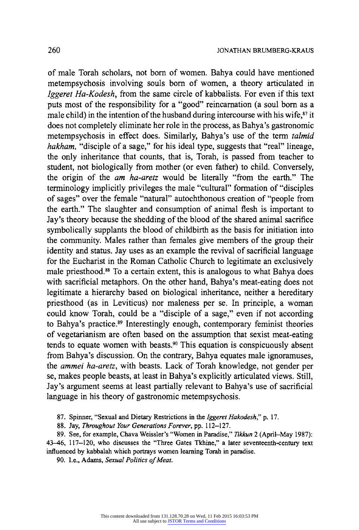**of male Torah scholars, not born of women. Bahya could have mentioned metempsychosis involving souls born of women, a theory articulated in Iggeret Ha-Kodesh, from the same circle of kabbalists. For even if this text puts most of the responsibility for a "good" reincarnation (a soul born as a male child) in the intention of the husband during intercourse with his wife,87 it does not completely eliminate her role in the process, as Bahya's gastronomic metempsychosis in effect does. Similarly, Bahya's use of the term talmid hakham, "disciple of a sage," for his ideal type, suggests that "real" lineage, the only inheritance that counts, that is, Torah, is passed from teacher to student, not biologically from mother (or even father) to child. Conversely, the origin of the am ha-aretz would be literally "from the earth." The terminology implicitly privileges the male "cultural" formation of "disciples of sages" over the female "natural" autochthonous creation of "people from the earth." The slaughter and consumption of animal flesh is important to Jay's theory because the shedding of the blood of the shared animal sacrifice symbolically supplants the blood of childbirth as the basis for initiation into the community. Males rather than females give members of the group their identity and status. Jay uses as an example the revival of sacrificial language for the Eucharist in the Roman Catholic Church to legitimate an exclusively male priesthood.88 To a certain extent, this is analogous to what Bahya does with sacrificial metaphors. On the other hand, Bahya's meat-eating does not legitimate a hierarchy based on biological inheritance, neither a hereditary priesthood (as in Leviticus) nor maleness per se. In principle, a woman could know Torah, could be a "disciple of a sage," even if not according to Bahya's practice.89 Interestingly enough, contemporary feminist theories of vegetarianism are often based on the assumption that sexist meat-eating tends to equate women with beasts.90 This equation is conspicuously absent from Bahya's discussion. On the contrary, Bahya equates male ignoramuses, the ammei ha-aretz, with beasts. Lack of Torah knowledge, not gender per se, makes people beasts, at least in Bahya's explicitly articulated views. Still, Jay's argument seems at least partially relevant to Bahya's use of sacrificial language in his theory of gastronomic metempsychosis.** 

**87. Spinner, "Sexual and Dietary Restrictions in the Iggeret Hakodesh," p. 17.** 

**88. Jay, Throughout Your Generations Forever, pp. 112-127.** 

**89. See, for example, Chava Weissler's "Women in Paradise," Tikkun 2 (April-May 1987): 43-46, 117-120, who discusses the "Three Gates Tkhine," a later seventeenth-century text influenced by kabbalah which portrays women learning Torah in paradise.** 

90. I.e., Adams, Sexual Politics of Meat.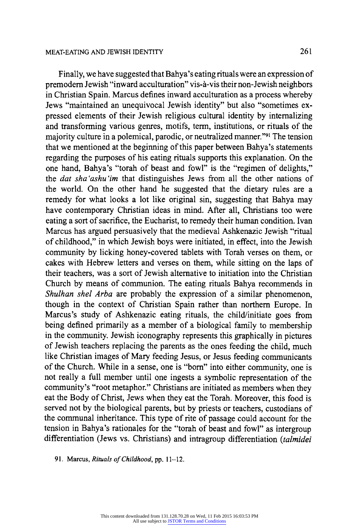**Finally, we have suggested that Bahya's eating rituals were an expression of premodern Jewish "inward acculturation" vis-a-vis their non-Jewish neighbors in Christian Spain. Marcus defines inward acculturation as a process whereby** 

**Jews "maintained an unequivocal Jewish identity" but also "sometimes expressed elements of their Jewish religious cultural identity by internalizing and transforming various genres, motifs, term, institutions, or rituals of the majority culture in a polemical, parodic, or neutralized manner."91 The tension that we mentioned at the beginning of this paper between Bahya's statements regarding the purposes of his eating rituals supports this explanation. On the one hand, Bahya's "torah of beast and fowl" is the "regimen of delights," the dat sha 'ashu 'im that distinguishes Jews from all the other nations of the world. On the other hand he suggested that the dietary rules are a remedy for what looks a lot like original sin, suggesting that Bahya may have contemporary Christian ideas in mind. After all, Christians too were eating a sort of sacrifice, the Eucharist, to remedy their human condition. Ivan Marcus has argued persuasively that the medieval Ashkenazic Jewish "ritual of childhood," in which Jewish boys were initiated, in effect, into the Jewish community by licking honey-covered tablets with Torah verses on them, or cakes with Hebrew letters and verses on them, while sitting on the laps of their teachers, was a sort of Jewish alternative to initiation into the Christian Church by means of communion. The eating rituals Bahya recommends in Shulhan shel Arba are probably the expression of a similar phenomenon, though in the context of Christian Spain rather than northern Europe. In Marcus's study of Ashkenazic eating rituals, the child/initiate goes from being defined primarily as a member of a biological family to membership in the community. Jewish iconography represents this graphically in pictures of Jewish teachers replacing the parents as the ones feeding the child, much like Christian images of Mary feeding Jesus, or Jesus feeding communicants of the Church. While in a sense, one is "born" into either community, one is not really a full member until one ingests a symbolic representation of the community's "root metaphor." Christians are initiated as members when they eat the Body of Christ, Jews when they eat the Torah. Moreover, this food is served not by the biological parents, but by priests or teachers, custodians of the communal inheritance. This type of rite of passage could account for the tension in Bahya's rationales for the "torah of beast and fowl" as intergroup differentiation (Jews vs. Christians) and intragroup differentiation (talmidei** 

**91. Marcus, Rituals of Childhood, pp. 11-12.**